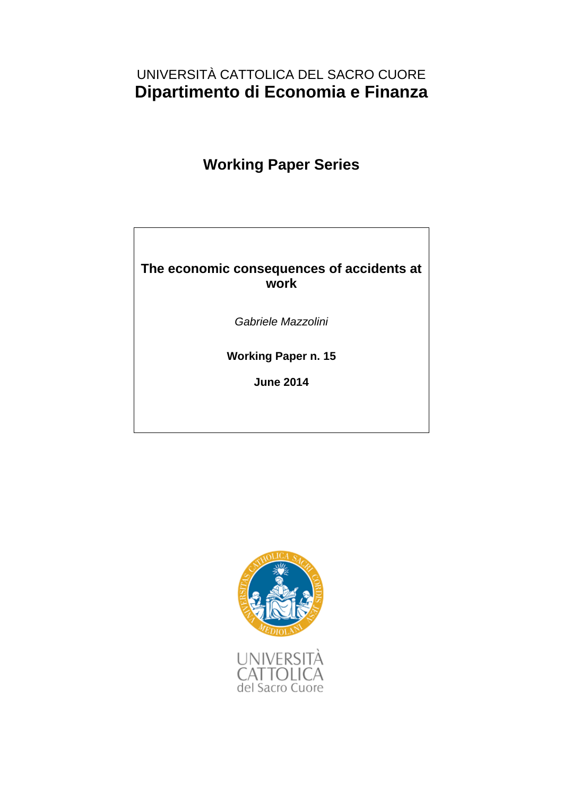# **The economic consequences of accidents at work**

# **Gabriele Mazzolini**

# **Università Cattolica Milan**

# **Abstract**

This paper investigates the economic consequences of workplace accidents in the British labour market. For the empirical analysis, I use data on employment and earnings from the British Household Panel Survey and exploit fixed effects estimators to control for time-invariant unobserved workers' characteristics. I provide evidence that accidents at work negatively affect both job opportunities and workers' earnings. First, employment probabilities following a state of injury are significantly lower. This effect persists over time and is stronger in those regions where the macroeconomic conditions are worse. Second, a serious workplace accident also results in significant delayed wage penalties, which increase with the accident's seriousness. The effect is lower in the public sector and unionized firms, where job and earnings protection is higher and physically demanding working conditions are not widespread, or if the worker moves to a new job which suits his/her post-injury abilities better.

*JEL Classifications*: J28, J71, J17 *Keywords*: accident at work, employment, earnings losses, BHPS

 $\overline{a}$ 

<sup>\*</sup> I am grateful to Claudio Lucifora for insightful suggestions and continual guidance in undertaking this project. I thank Alex Bryson, Elena Cottini, Annalisa Cristini, Federica Origo, Michele Pellizzari, Sara Pinoli, Elena Verdolini and seminar participants at the Economic and Social Implications of Health and Safety at Work conference 2012, Thessaloniki and the XXVI Convegno Nazionale di Economia del Lavoro, Università Cattolica, Milano for helpful comments.

Corresponding author: Gabriele Mazzolini - Università Cattolica, Largo Gemelli 1, 20123, Milano, Italy. Email: gabriele.mazzolini@unicatt.it; Tel.: +39.02.7234.2973; Fax: +39.02.7234.2781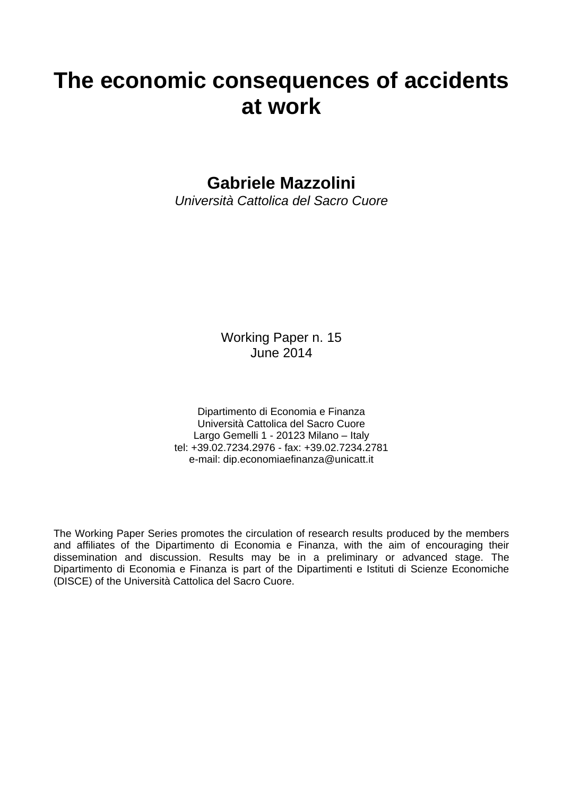# **1. Introduction**

1

Accidents at work are critical events that negatively affect the health status of workers, who may experience illnesses, disabilities and, in the most serious cases, death. Although the majority of workplace accidents result in minor injuries with only limited health consequences.<sup>1</sup> in a number of cases injured workers suffer from long-term health problems or permanent disabilities. The costs associated with accidents at work are both direct and indirect. Direct costs are related to medical and rehabilitation care and to income losses, namely the loss of gross earnings due to absence from work net of replacement income.<sup>2</sup> Indirect costs, which are more difficult to measure, include a higher probability of unemployment due to the inability to work in heavy-duty jobs or for long hours. Moreover, accidents can also have effects later in the worker's life cycle. This can result in lower chances of returning to the labour market, slower career advancement, and reduced wage-earning capacity.

This paper focuses on the labour market in Great Britain and estimates the economic costs of accidents at work on labour-market outcomes. This analysis is motivated by a general lack of evidence with respect to this issue. With the exception of a number of analyses focusing on the US, this issue has been largely ignored by the empirical literature on risk at work and occupational accidents. The aim of the paper is to fill this gap. It shows that the presence of labour-market failures results in inadequate compensation for injured workers. This may justify the intervention of policy-makers with the twofold aim of increasing safety-at-work standards and avoiding the occurrence of indirect costs for injured workers in the case of accident. The focus of policy-making intervention should then be to support the return to work of injured workers and an appropriate post-injury match between worker and job.

In the years 2009-2010, the total costs associated with workplace injuries in Great Britain were estimated at £5.4 billion (Health and Safety Executive 2012). More than half of these costs were borne by the victims, but the employer and society at large also shared the burden.<sup>3</sup> The costs associated with serious accidents were particularly high. Minor occupational injuries represented the majority of accidents, but they accounted for only 2.12 per cent of the total economic costs (Fig.1). Conversely, more serious accidents were less frequent, but they accounted for 93.25 per cent of the estimated economic cost.<sup>4</sup> This highlights the importance of

<sup>&</sup>lt;sup>1</sup> Statistics provided by Health and Safety Executive, referring to 2009/2010, report the occurrence of around 700,000 occupational accidents, 400,000 of which caused a minor injury, that is, an injury resulting in less than 4 days absence from work. Moreover, Eurostat (2004) indicates that prolonged sick leave (one month or more) was reported by 22 percent of workers who had suffered an accident at work. In addition, only 1.8 percent of injuries entailed disabilities for more than one year following the accident (Eurostat, 2004).

 $2$  Net replacement of income consists of sick pay and state benefits. Statistics provided by the Health and Safety Executive estimate health and rehabilitation care at £124 million and losses in income at £803 million in 2009/2010.

<sup>3</sup> For the employer, an accident entails sick pay payments, insurance premiums, production disturbance costs, administrative and legal costs, and loss of resources that may be difficult to monetize. For the society, an accident entails costs arising from loss of earnings to the individual (benefits payments, reduction in tax and national insurance receipts), medical treatment and rehabilitation costs, and administration and legal costs.

<sup>&</sup>lt;sup>4</sup> Serious accidents were relatively rare events: 1.6 per cent of total accidents entailed a 15 per cent disability level, 0.2 per cent resulted in 100 per cent disability, and  $\overline{0.1}$  per cent in a fatal injury. Nevertheless, they accounted for the largest part of the total labour costs: injuries causing 15 per cent disability accounted for 32.7 per cent of the total labour costs, 100 per cent disability for 27 per cent, and fatal accidents for 8 per cent. These statistics highlight the importance, in terms of labour costs, of accidents causing long-lasting or permanent injuries or with fatal consequences (Eurostat, 2004).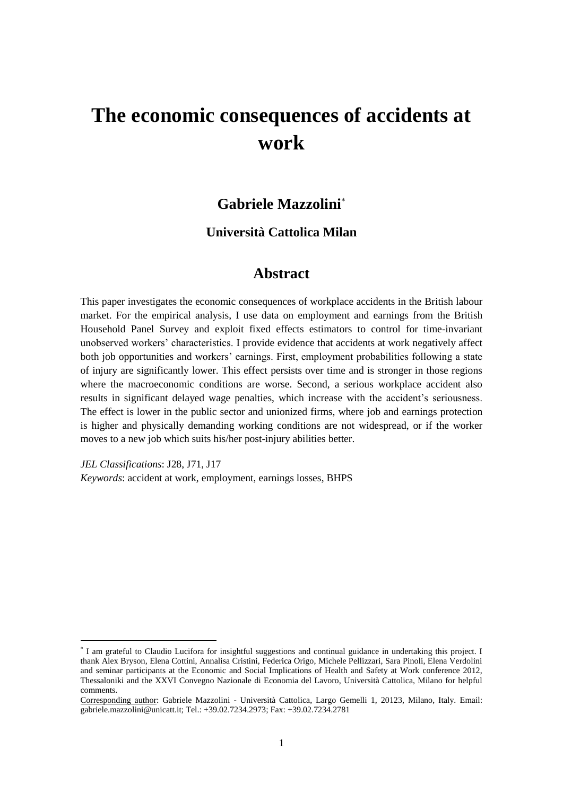further investigating the economic consequences of accidents giving rise to long-lasting or permanent injuries.

Despite the considerable economic consequences associated with serious accidents at work, only few studies have dealt with this topic. Focusing on the US labour market, Boden and Galizzi (1998, 1999, 2003a), Reville (1999), Reville and Schoeni (2001) and Reville et al. (2002), Biddle (1998) and Woock (2009a, 2009b) identified substantial earnings losses in the short term but indicated a partial recovery in the long term, generally due to stable post-injury employment. Similar findings have been reported by Butler et al. (2006) and Crichton et al. (2011), who investigated the consequences of an occupational accident in Canada and New Zealand, respectively. No study is available for any European country. By focusing on the labour market in Great Britain, this paper is thus the first contribution to filling an important gap in the literature.



**Fig.1: Distribution of accidents at work and the incidence of each kind of accident on the total costs in 2009/2010**

Several examples of the negative relationship between occupational injuries and labour-market outcomes can be found in the theoretical literature. During the recovery period after a severe injury, workers may experience a reduction in job-specific human capital which may result in earnings penalties (Reville and Schoeni, 2001). This is particularly the case if the employer and the local labour market cannot offer alternative jobs suited to the worker's reduced abilities. Workers may also experience a decrease in their labour productivity due to their ability to perform fewer tasks, to imprecise and unsatisfactorily outcomes, or to a lower probability of fulfilling specific targets defined by pay-for-performance mechanisms. Moreover, in the presence of compensating wage differentials assigned to workers in riskier occupations, moving from particularly risky jobs to safer ones as a consequence of workplace accidents may entail significant earnings losses. Finally, employment probabilities may be lower as a result of employers' discrimination against injured workers, such as refusal to offer the same employment opportunities to victims of accidents.

Source: Health and Safety Executive (2012)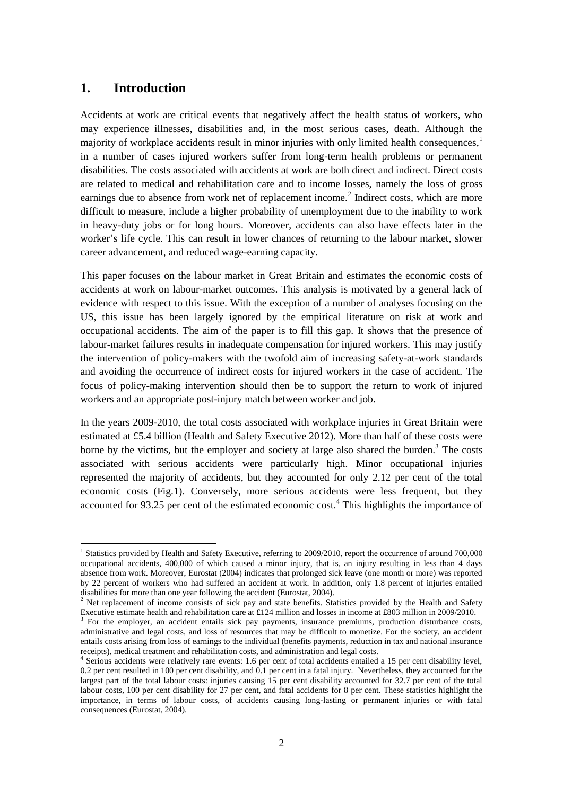This paper offers three main contributions to the literature on risk at work and occupational accidents. First, I conduct an empirical analysis of the economic consequences of serious occupational accidents on labour-market outcomes in Great Britain using the 1991-2008 waves of the British Household Panel Surveys. In particular, I exploit information on whether a worker receives the *Industrial Injuries Disablement Benefit (IIDB)*, a state allowance for workers injured in a workplace accident. The main advantage of using the *IIDB*, rather than workers' self-reported assessments, is a significant reduction in the measurement error associated with identifying the nature and seriousness of an accident at work.

Second, I use fixed effects estimators to measure the effects of a work-related accident and the extent to which the seriousness of an injury affects labour-market outcomes. The aim of the analysis is to highlight what economic indirect costs are borne by the worker as a consequence of an occupational accident. To this end, I focus on employment probabilities and earnings losses for those injured workers who remain in employment after an occupational accident.

Finally, I speculate on the main explanations for my findings, testing whether the negative effects of an occupational accident on labour-market outcomes may be mitigated in the presence of specific economic conditions and higher job and earnings protection. This issue is particularly important for policy-makers intending to design effective policy interventions to reduce the costs borne by the victims of occupational accidents.

The paper is organized as follows. Section 2 reviews the relevant literature on risk at work and workplace accidents, paying particular attention to studies that investigate the economic consequences of an accident at work. Section 3 describes the institutional background to occupational health and safety regulations in Great Britain. It focuses specifically on provisions enacted in order to ensure adequate compensation for injured workers. Section 4 presents the dataset description and descriptive statistics. Section 5 introduces the empirical issues linked with estimating the effects of injury on labour-market outcomes. Section 6 sets out the results and the sensitivity analysis; concluding remarks follow.

# **2. Literature review**

**.** 

Notwithstanding the great efforts made in recent years to estimate the value of statistical life – see Viscusi and Aldy (2003) for a survey – and to identify the main determinants of accidents at work,<sup>5</sup> one of the major shortcomings of the literature is the absence of studies on how occupational injuries affect labour-market outcomes in the EU. All studies investigating the

<sup>5</sup> Two main questions are investigated. First, a number of studies have examined how workers' socio-demographic characteristics affect job sorting according to risk at work (DeLeire and Levy, 2004; Grazier and Sloane, 2008; Schaffner and Kluve, 2007) and the rates of workplace accidents (Berger and Gabriel, 1991; Hamermesh, 1998; Hersch, 1998; Bauer et al., 1998; Leeth and Ruser, 2006; Leombruni et al., 2009). Second, an extensive literature shows how firm and job characteristics impact on the probability of accident. It investigates the role of unionization (Litwin, 2000; Baugher and Roberts, 1999; Fenn and Ashby, 2004); the existence of a pure "contractual effect" against workers employed with fixed-term contracts (Guadalupe, 2003; Amuedo and Dorantes, 2002; Hernanz and Toharia, 2004; Garcia-Serrano et al., 2010; Williamson et al., 2009); the relationship between working time and occupational accidents (Wilkins, 2004); how innovative work organization practices affect the occurrence of an accident at work (Fairris and Brenner, 2001; Brenner et al., 2004; Askenazy, 2001; Askenazy and Caroli, 2010); the relationship between macroeconomic conditions and cyclical fluctuations of the rate of occupational injuries (Ruhm, 2000; and Boone and van Ours, 2006; Boone et al., 2011) and the return to work after a workplace accident (Boden and Galizzi, 2003b).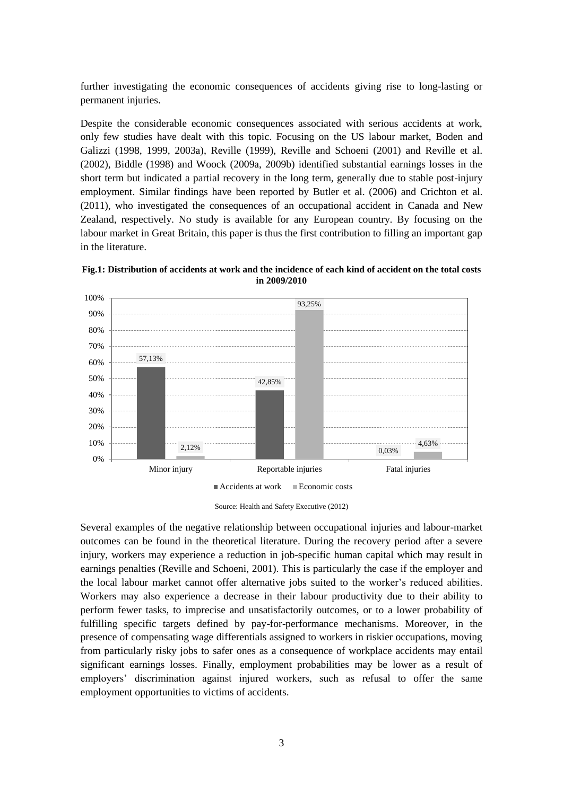economic consequences of occupational injuries are focused on the US labour market – with the exception of Butler et al. (2006) and Crichton et al. (2011), who studied the effect, respectively, in Canada and in New Zealand. The majority of these studies use information provided by WC claims data and find a similar pattern on estimating the earnings losses consequent on a workplace injury. After an occupational injury, earnings losses are immediately substantial, and only after several years is there a partial recovery, generally due to stable post-injury employment.

Using WC claims data with unemployment records from Wisconsin, Boden and Galizzi (1998, 1999, 2003a) reported that earnings losses were concentrated in the first two quarters following injury (on average, \$4,200 for injured men) and then decreased up to the fourth year (about \$12,700). The authors also found significant differences in earnings losses by gender: in the three and a half years after the post-injury quarter, women lost on average 9.2 per cent of earnings, while men lost only 6.5 per cent. Using Blinder-Oaxaca Neumark decomposition, the authors argued that only half of this gender gap was explained by higher probabilities of job loss for working women. By contrast, the contribution of employment and injury characteristics was not statistically significant in explaining gender differences in earnings losses.

Reville (1999), Reville and Schoeni (2001) and Reville et al. (2002), on using a unique California administrative dataset,<sup>6</sup> found that the negative impact of injury in terms of earnings losses was largely explained by a decrease in the employment rate. In particular, Reville and Schoeni (2001) studied the economic consequences of the *Permanent Partial Disabilities (PPD)* scheme, finding significant earnings losses for injured workers (around 25 percent of earnings) up to four/five years after a serious occupational accident. On analysing the determinants of earnings losses, the authors found a positive correlation with the severity of a workplace accident. Similar findings are also highlighted in Biddle (1998), who used WC claims data from the state of Washington.

Crichton et al. (2011) used data on the New Zealand labour market<sup>7</sup> to show that injury duration and earnings losses are strongly correlated. The effects of longer-duration injuries did not decline over the first 18 months after leaving the insurance system. Their results indicated that the employment rate and total income of injured workers are, respectively, 20 and 25 per cent lower than those of non-injured workers.

Most recently, Butler et al. (2006) have analysed data from the *Survey of Ontario Workers with Permanent Impairments* and showed significant productivity losses related to the spells of work absence in the first year after injury. In the following years, only workers in unstable employment patterns continued to incur large earnings losses determined by the repeated spells of injury-related work absence. By contrast, workers in stable employment were only affected by limited losses in the second and third year. This might have been due to periods of work at reduced wages or reduced hours.

 $\overline{a}$ 

<sup>6</sup> The authors used a unique dataset obtained by matching the *1989 - 1995 Uniform Statistical Reporting Plan (USR)* database from the *Workers' Compensation Insurance Ratings Bureau (WCIRB)* with the *Base Wage* file from the *State of California Employment Development Department (EDD)*

<sup>7</sup> The authors used *1999 – 2004 New Zealand accident insurance system (ACC)*, together with data on earnings compensation provided by *Statistics New Zealand's (SNZ) Linked Employer-Employee Database.*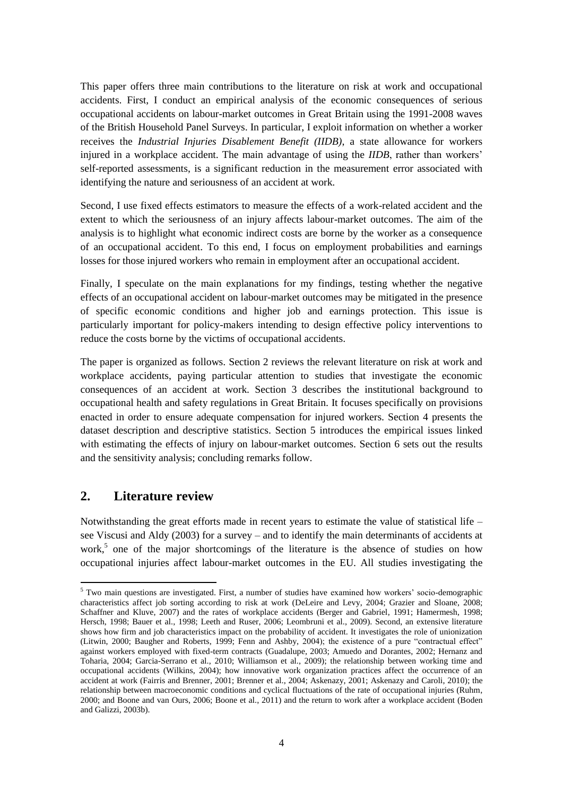Woock (2009a) estimated earnings losses by including in the analysis also injured workers who did not receive WC benefits and using uninjured workers as a comparison group. The author found that omitting workers with a minor injury led to estimates of annual earnings losses 1.6 to 2.7 times larger than those obtained by comparing all injured workers to a comparison group of uninjured workers. Moreover, Woock reported that annual earnings losses varied according to the severity of the workplace accident: from \$ 600 to \$ 2,900, considering injured men who did not receive WC; from \$4,200 to \$5,800, for WC recipients; and from \$ 5,000 and \$ 14,000 for those reporting a work-limiting disability after the injury. In a further contribution, Woock (2009b) has underlined that earnings losses due to work-related injuries are mitigated by the presence of trade unions in bargaining on workers' wages. The author argues that differences in earnings between injured and non-injured workers are statistically significant only among nonunionized injured workers.

# **3. Occupational Health and Safety Regulation in Great Britain**

Government interventions to regulate occupational health and safety are necessary to guarantee that the most risk-averse party, namely the victim, does not bear the entire economic cost of a workplace injury (see Shavell, 2007, for a survey). The economic consequences of an accident at work in the British labour market can be appropriately analysed only in light of the institutional framework currently regulating that market. Variations in insurance systems and in work injury programmes may significantly alter the effects of a workplace accident on labourmarket outcomes. According to Boden and Galizzi (2003b), for example, significant state aid could result in workers deciding to remain outside the job market whenever the accident has been particularly serious and led to a significant reduction of the injured worker's earnings. Not taking appropriate account of the existence of state aid for injured workers in an empirical analysis will lead to an overestimation of the negative effects of accidents on employment probabilities if the policy provisions influence the choice returning to work. Conversely, the existence of benefits may lead to an underestimation of earnings losses whenever injured workers can accept lower wages as a result of additional state benefits.

Occupational health and safety legislation in Great Britain is defined by the *1974 Health and Safety at Work (HSW) Act* and its subsequent amendments. These amendments were inspired by the *European Framework Directive 89/391* and by the *Management of Health and Safety and Work Regulations*, implemented in 1999. The fundamental principle defined by the *HSW Act*  establishes that the employer is legally responsible for health and safety at work, and is in charge of assessing workplace risks, adopting all measures and practices appropriate to avoiding them, and providing adequate occupational health services (OHS). When an occupational accident occurs, the employer is required to report injuries, diseases and dangerous occurrences in an *accident book* and to notify them to the *Health and Safety Executive* or to the local authorities. The *accident book* should contain detailed information on occupational accidents resulting in death or injuries that prevent workers from carrying out their normal work for more than three days.

When injured workers need time off to recover, they are entitled to receive sick pay from the employer. The employer can decide to arrange a discretional company sick pay scheme or to guarantee the *Statutory Sick Pay (SSP)*, which represents the legal minimum and is paid by the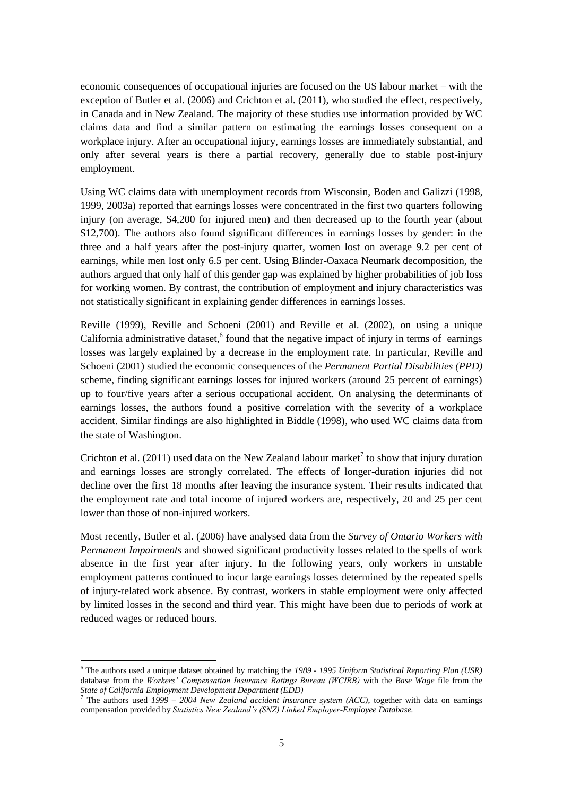employer on behalf of the government.<sup>8</sup> If workers suffer a physical injury and/or a mental disorder as a result of the employer's non-compliance with the duties stated in the *HSW Act*, they can claim for additional compensation on top of the sick pay mentioned above. Employers' liability insurance, which is compulsory according to the *Employers' Liability (Compulsory Insurance) Act* of 1969, covers all the costs of claims for compensation related to noteworthy accidents at work: the insurer will pay the full amount of any compensation agreed between employers and employees or awarded to employees by a court.

The occurrence of a particularly serious occupational injury also allows the worker to claim for the *Industrial Injuries Disablement Benefit (IIDB)*. The *IIDB* is provided by the state in order to cover any costs for injuries resulting from accidents at work. The amount of the allowance granted to the worker is strictly dependent on the health consequences of the workplace accident. The nature and the seriousness of an occupational injury are determined, respectively, by the *Department for Work and Pensions* (*DWP*) with the *accident declaration*, and by a qualified doctor through an assessment of disability.<sup>9</sup> The *accident declaration* certifies whether the injury can be considered by law as an industrial accident. A medical examination certifies the severity of the worker's disability and for how long s/he will be unable to work. The total revenue obtained from this claim by the worker is the product of the number of weeks needed to recover the pre-injury health status and the assessment of the disability, with a minimum qualifying disability of 14 per cent.<sup>10</sup> In the case of temporary injury, at the end of the period covered by the allowance, the worker can ask for a renewal if the injury is still not resolved.

Other benefits available to injured employees are the *Reduced Earnings Allowance (REA)*, assigned when the employee cannot do his/her usual job or other work with similar pay because of a disease or an injury caused by his/her job; the *Constant Attendance Allowance (CAA)* and the *Exceptionally Severe Disablement Allowance (ESDA)*, provided to employees who receive the *IIDB* at the 100 per cent rate and need daily care and attention; the *Analogous Industrial Injuries Scheme (AIIS)*, paid exclusively to trainees who have an accident during a work-based training programme and, consequently, are not entitled to receive *IIDB*.

Besides financial aid for injured workers, in 1995 the British government enacted the *Disability Discrimination Act* in order to prevent any form of discrimination against injured workers in the workplace.<sup>11</sup> The *Disability Discrimination Act* guarantees that the employers do not discriminate against injured individuals when offering employment through any arrangement, terms of contract, or deliberate refusal. It also ensures that injured workers are granted the same on-job opportunities in terms of promotions, transfers, training programmes and other benefits.

**.** 

<sup>8</sup> Work injury programmes in Great Britain are described in detail on the *Directgov* website (http://www.direct.gov.uk).

For the worker to receive the benefit, the *DWP* must rule that the accident can be considered an industrial accident. This is done by acquiring information from the *accident book* and, if necessary, requesting more details from the employer. When the *DWP* approves the *accident declaration*, thus confirming that the accident is due to work activities, the employee is entitled to receive, through *Job Centre Plus*, an allowance calculated according to the severity of the injury, which is assessed by a qualified doctor.

 $10$  Injured workers are entitled to the benefit after the first 15 weeks of disability following an accident, independently of the moment when the *IIDB* is certified. The amount of the allowance, according to the level of disability, is defined automatically using a fixed scale: in 2012, from £ 31.62 per week for 20 per cent disability to £ 158.10 per week for 100 per cent disability.

 $11$  The Act was repealed and replaced by the Equality Act 2010, which transposed the four major EU Equal Treatment Directives in order to consolidate and renew the complicated anti-discrimination law in Great Britain.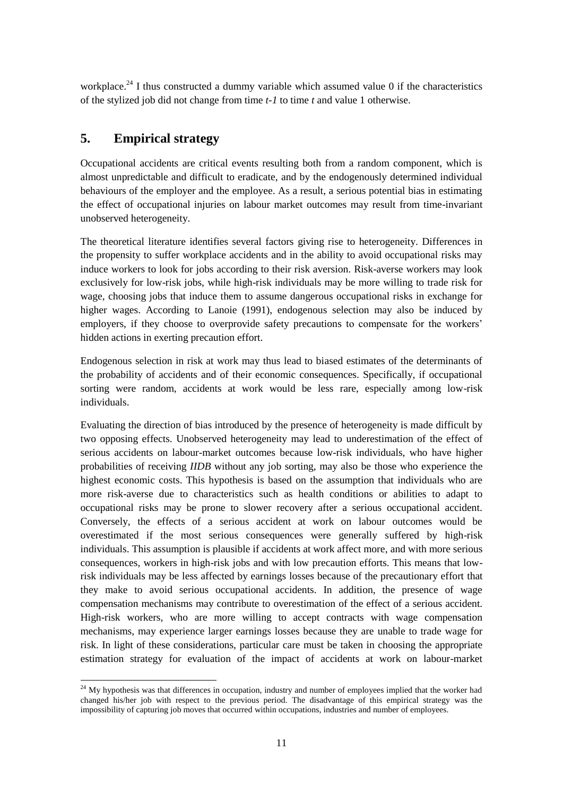## **4. Data and descriptive statistics**

The empirical analysis now presented was based on an unbalanced panel from the British Household Panel Survey (BHPS), which provides information on a sample of adult British individuals from 1991 to 2008. For the purpose of the analysis, the sample was restricted to individuals aged 16-65 and eligible for work.<sup>12</sup> The sample was thus composed of  $22,510$ individuals in 18 BHPS waves, for a total of 126,922 observations. Note that the BHPS is a large and lengthy longitudinal dataset with many observations for a long time span. Hence it is the ideal source of data with which to study the consequences of rare events, such as accidents at work.

The questionnaire provides information on labour market outcomes in terms of employment status and labour earnings. The dependent variable used to analyse employment probabilities was the dummy variable *E*, which was equal to 1 if the worker was employed at the time of the interview and to 0 otherwise. In my sample, the employment rate was almost constant over time and around 78 per cent.<sup>13</sup> Conversely, to estimate earnings losses caused by an occupational accident, I used the logarithm of hourly wage (*ln\_yhrl*) as the dependent variable*.* This variable was constructed using information on annual labour income and hours normally worked per week.<sup>14</sup> When focusing on wage effects, I restricted the sample to individuals employed at time *t* and for whom the variable *ln\_yhrl* was observed. This sub-sample was composed of 15,356 individuals, for a total of 89,845 observations.<sup>15</sup> Mean hourly wage ranged from £ 5.82 in the first wave (1991) to over £ 11.54 in the last wave (2008).<sup>16</sup>

To estimate correctly the effect of an occupational accident on labour market outcomes, I had to assess the nature and the severity of a workplace accident. In this regard, workers' self-reported data usually give rise to measurement problems. The problem is particularly significant for minor occupational accidents leading to small and unsubstantial economic consequences. To minimize the measurement error, I used information on whether a worker received the *Industrial Injury Disablement Benefit (IIDB)*<sup>17</sup> as a proxy for the occurrence of an accident at work. With respect to workers' self-reported assessments, the *IIDB* led to a significant reduction in the measurement error associated with identifying the nature and seriousness of an accident at work. In the *IIDB*, the seriousness of the injury is certified by the *accident declaration* and assessed by a qualified doctor. For the purpose of my empirical analysis, a dummy variable indicated whether the worker had been injured due to an occupational accident and, as a

 $\overline{a}$ 

 $12$  I excluded full-time students, individuals on maternity leave, involved in family care and in government training programmes. In order to compare the results to statistics on the total costs associated with workplace injuries in Great Britain, I eliminated from the sample individuals living in Northern Ireland.

<sup>&</sup>lt;sup>13</sup> The employment rate was higher than aggregate statistics issued by the UK Office for National Statistics: 77.87 per cent in this dataset, 71.42 per cent according to data from Labour Market Statistics Dataset.

 $14$  I used the hourly wage to avoid spurious effects related to variations in working hours that might result if the accident led to a reduction in the workload. To check the robustness of these findings to the definition of the income variable, in the subsection devoted to the sensitivity analysis I perform various estimations using different definitions of earnings.

 $15$  I excluded non-employed individuals and workers without a labour contract.

<sup>16</sup> Mean hourly wages were in line with the aggregate statistics provided by *Annual Survey of Hours and Earnings (ASHE)* for the labour market in Great Britain.

<sup>17</sup> The question used to construct the dummy variable was formulated in the following way: *"Please tell me if, since September 1st of previous year, you have received the Industrial Injury Disablement Allowance".* Details on the *IIDB*  are provided in Section 2.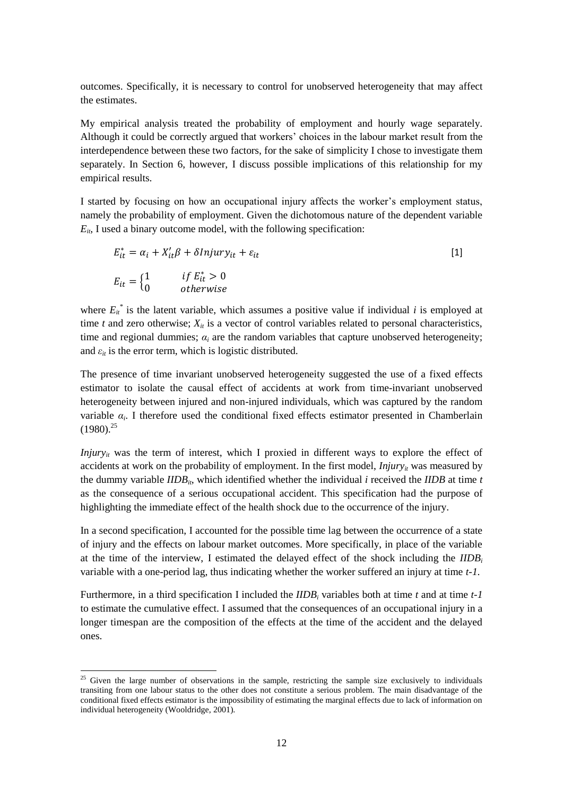consequence, received the *IIDB* in the previous 12 months.<sup>18</sup> I exploited the lagged value of the *IIDB* to account for the fact that there may be a time lag between the occurrence of a state of injury as a consequence of an accident at work and the labour-market effects. In line with the literature on effects of health on the labour market outcomes,<sup>19</sup> a one-year time lag was used to capture the delayed effect of an accident at work. In the subsection devoted to the sensitivity analysis, I also present results using longer lags to account for the time taken by a serious accident at work to deteriorate labour-market outcomes.<sup>20</sup>

Information on the occurrence of a state of injury was also used to identify the relationship between the seriousness of an accident at work and the effects on labour-market outcomes. The lack of any information on the *assessment of disability* required proxying the seriousness of an occupational accident with the duration of the disability at the time of the interview. A discrete variable measured the number of years in which the *IIDB* had been paid to the injured worker. The variable assumed value 0 until the worker received the *IIDB* as a consequence of a serious occupational accident. Upon occurrence of a work-related injury, the variable assumed value 1 and, if the injury persisted over time, it increased according to the number of years of injury suffered up to the time of the interview. $21$ 

The descriptive statistics presented in Fig.2 suggest that a state of injury following a serious occupational accident has an immediate negative impact on the probability of employment. Injured individuals seem to experience reduced job opportunities both in the short term (50.37 per cent and 79.61 per cent are respectively the employment rates of injured and non-injured individuals, when the state of injury is captured at time of the interview) and in the long term. Indeed, differences in employment rates between injured and non-injured individuals remain almost constant over time.

Focusing on effects of a workplace injury on the hourly wage, the stylized facts presented in Fig.3 show initially negligible differences between wages earned by injured workers and by non-injured workers (only 2.56 per cent lower among injured workers). Wage differences increase starting from the period following the injury and do not exhibit any evidence of reducing over time.

However, these differences may be due, not to the injury itself, but to the existence of differences in workers' demographic characteristics and job and firm attributes between injured and non-injured workers.<sup>22</sup> In order to control for this aspect, I added a set of control variables to the models. Time varying demographic characteristics of the respondents included age class and family composition. To proxy for job attributes, I used information on the respondent's working qualifications.<sup>23</sup> Firm characteristics included industry, number of employees at the

**.** 

<sup>&</sup>lt;sup>18</sup> The amount of the *IIDB* was not included in computation of the hourly wage.

<sup>&</sup>lt;sup>19</sup> Bound et al. (1999) and García-Gómeza et al. (2010) use the lagged health to study delayed effects on labor-market transitions.

 $20$  For the robustness analysis, I used the lagged values of the variable, which captured whether the worker had experienced a state of injury following an occupational accident in the five years before the interview (up to time *t-4*). <sup>21</sup> Since it is not possible perfectly to identify the occurrence of an occupational accident, I assumed that each injured worker received all the benefits as consequences of a single accident. This assumption is plausible if one considers the relatively slight probability of receiving the *IIDB* for two or more different workplace accidents.

 $^{22}$  A complete list of the variables used in the analyses and descriptive statistics are available in the Appendix.

<sup>&</sup>lt;sup>23</sup> Oualifications were defined according to the International Standard Classification of Occupations – ISCO. Industries were classified using the International Standard Industrial Classification of All Economic Activities – ISIC.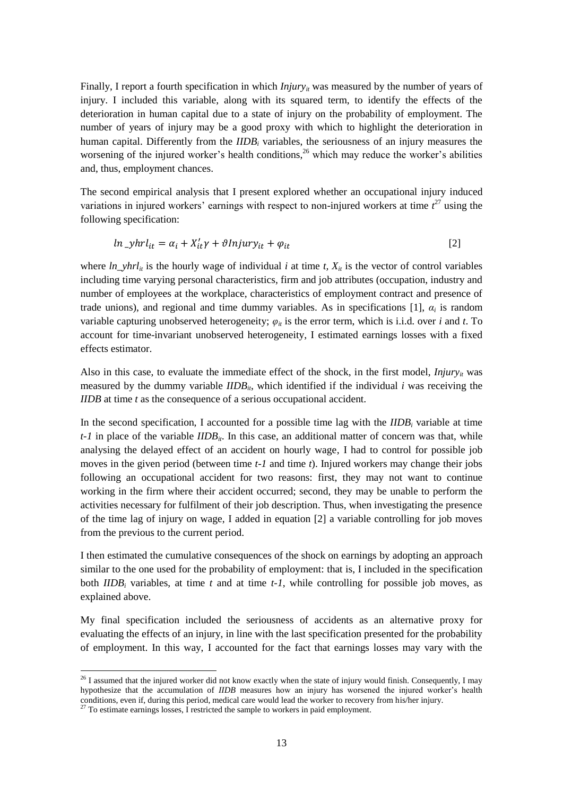workplace, and presence of trade unions. I also added dummy variables which identified the duration and the type of employment contract. Moreover, to eliminate the heterogeneous effects due to unobserved differences in regions within Great Britain and to time effects from the empirical analysis, I included a set of regional dummy variables and a set of time dummy variables.



**Fig.2: Differences in employment probabilities between injured and non-injured workers.**

Source: British Household Panel Survey - Wave 1 - 18 (1991-2008)



**Fig. 3: Differences in hourly wage between injured and non-injured workers.**

Source: British Household Panel Survey - Wave 1 - 18 (1991-2008)

I also included in the analysis a variable indicating whether the worker had recently changed jobs. The BHPS does not include any firm identifier; thus I identified a job change by exploiting differences in stylized jobs over a certain time span. Stylized jobs in my sample were identified by combining information about occupation, industry and number of employees at the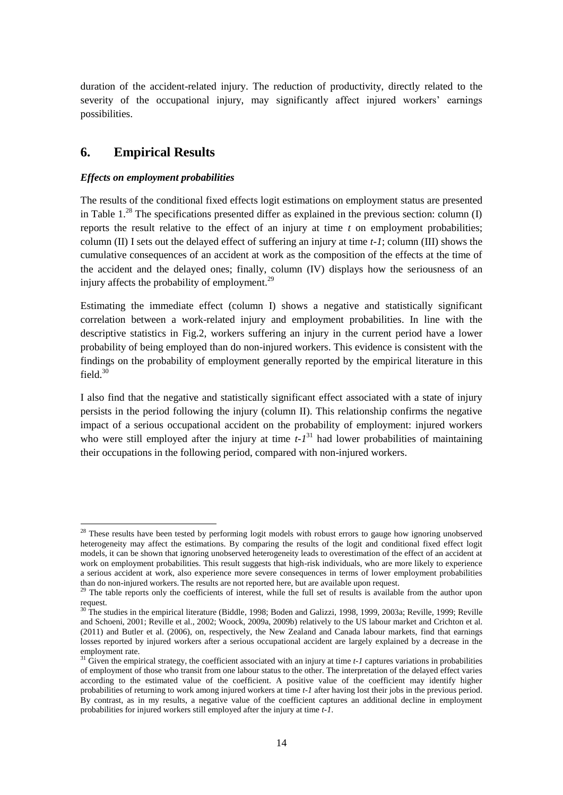workplace.<sup>24</sup> I thus constructed a dummy variable which assumed value 0 if the characteristics of the stylized job did not change from time *t-1* to time *t* and value 1 otherwise.

# **5. Empirical strategy**

Occupational accidents are critical events resulting both from a random component, which is almost unpredictable and difficult to eradicate, and by the endogenously determined individual behaviours of the employer and the employee. As a result, a serious potential bias in estimating the effect of occupational injuries on labour market outcomes may result from time-invariant unobserved heterogeneity.

The theoretical literature identifies several factors giving rise to heterogeneity. Differences in the propensity to suffer workplace accidents and in the ability to avoid occupational risks may induce workers to look for jobs according to their risk aversion. Risk-averse workers may look exclusively for low-risk jobs, while high-risk individuals may be more willing to trade risk for wage, choosing jobs that induce them to assume dangerous occupational risks in exchange for higher wages. According to Lanoie (1991), endogenous selection may also be induced by employers, if they choose to overprovide safety precautions to compensate for the workers' hidden actions in exerting precaution effort.

Endogenous selection in risk at work may thus lead to biased estimates of the determinants of the probability of accidents and of their economic consequences. Specifically, if occupational sorting were random, accidents at work would be less rare, especially among low-risk individuals.

Evaluating the direction of bias introduced by the presence of heterogeneity is made difficult by two opposing effects. Unobserved heterogeneity may lead to underestimation of the effect of serious accidents on labour-market outcomes because low-risk individuals, who have higher probabilities of receiving *IIDB* without any job sorting, may also be those who experience the highest economic costs. This hypothesis is based on the assumption that individuals who are more risk-averse due to characteristics such as health conditions or abilities to adapt to occupational risks may be prone to slower recovery after a serious occupational accident. Conversely, the effects of a serious accident at work on labour outcomes would be overestimated if the most serious consequences were generally suffered by high-risk individuals. This assumption is plausible if accidents at work affect more, and with more serious consequences, workers in high-risk jobs and with low precaution efforts. This means that lowrisk individuals may be less affected by earnings losses because of the precautionary effort that they make to avoid serious occupational accidents. In addition, the presence of wage compensation mechanisms may contribute to overestimation of the effect of a serious accident. High-risk workers, who are more willing to accept contracts with wage compensation mechanisms, may experience larger earnings losses because they are unable to trade wage for risk. In light of these considerations, particular care must be taken in choosing the appropriate estimation strategy for evaluation of the impact of accidents at work on labour-market

**<sup>.</sup>**  $24$  My hypothesis was that differences in occupation, industry and number of employees implied that the worker had changed his/her job with respect to the previous period. The disadvantage of this empirical strategy was the impossibility of capturing job moves that occurred within occupations, industries and number of employees.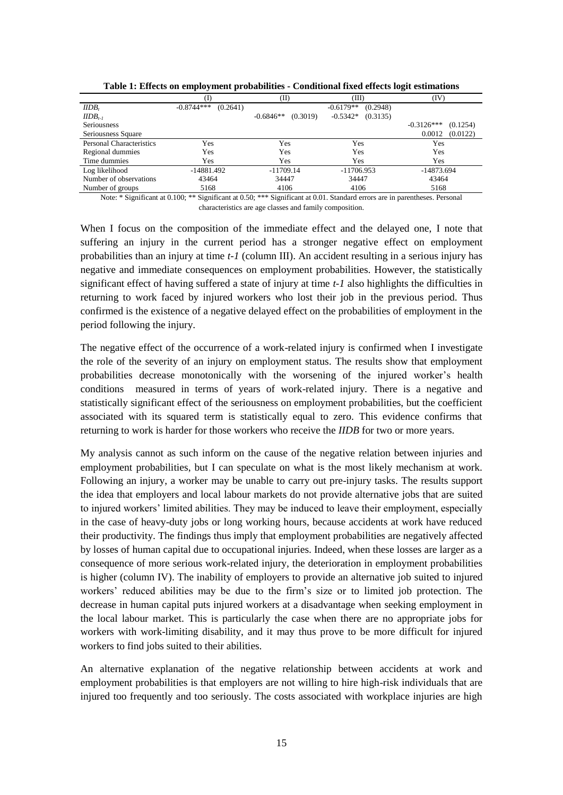outcomes. Specifically, it is necessary to control for unobserved heterogeneity that may affect the estimates.

My empirical analysis treated the probability of employment and hourly wage separately. Although it could be correctly argued that workers' choices in the labour market result from the interdependence between these two factors, for the sake of simplicity I chose to investigate them separately. In Section 6, however, I discuss possible implications of this relationship for my empirical results.

I started by focusing on how an occupational injury affects the worker's employment status, namely the probability of employment. Given the dichotomous nature of the dependent variable  $E_{it}$ , I used a binary outcome model, with the following specification:

$$
E_{it}^{*} = \alpha_i + X_{it}'\beta + \delta Injury_{it} + \varepsilon_{it}
$$
  
\n
$$
E_{it} = \begin{cases} 1 & if \ E_{it}^{*} > 0 \\ 0 & otherwise \end{cases}
$$
 [1]

where  $E_{it}^{*}$  is the latent variable, which assumes a positive value if individual *i* is employed at time  $t$  and zero otherwise;  $X_{it}$  is a vector of control variables related to personal characteristics, time and regional dummies;  $\alpha_i$  are the random variables that capture unobserved heterogeneity; and  $\varepsilon_{it}$  is the error term, which is logistic distributed.

The presence of time invariant unobserved heterogeneity suggested the use of a fixed effects estimator to isolate the causal effect of accidents at work from time-invariant unobserved heterogeneity between injured and non-injured individuals, which was captured by the random variable *α<sup>i</sup>* . I therefore used the conditional fixed effects estimator presented in Chamberlain  $(1980)^{25}$ 

*Injury<sub>it</sub>* was the term of interest, which I proxied in different ways to explore the effect of accidents at work on the probability of employment. In the first model,  $Injury_{it}$  was measured by the dummy variable  $IIDB_{it}$ , which identified whether the individual *i* received the  $IIDB$  at time  $t$ as the consequence of a serious occupational accident. This specification had the purpose of highlighting the immediate effect of the health shock due to the occurrence of the injury.

In a second specification, I accounted for the possible time lag between the occurrence of a state of injury and the effects on labour market outcomes. More specifically, in place of the variable at the time of the interview, I estimated the delayed effect of the shock including the *IIDB<sup>i</sup>* variable with a one-period lag, thus indicating whether the worker suffered an injury at time *t-1*.

Furthermore, in a third specification I included the *IIDB<sup>i</sup>* variables both at time *t* and at time *t-1* to estimate the cumulative effect. I assumed that the consequences of an occupational injury in a longer timespan are the composition of the effects at the time of the accident and the delayed ones.

1

 $25$  Given the large number of observations in the sample, restricting the sample size exclusively to individuals transiting from one labour status to the other does not constitute a serious problem. The main disadvantage of the conditional fixed effects estimator is the impossibility of estimating the marginal effects due to lack of information on individual heterogeneity (Wooldridge, 2001).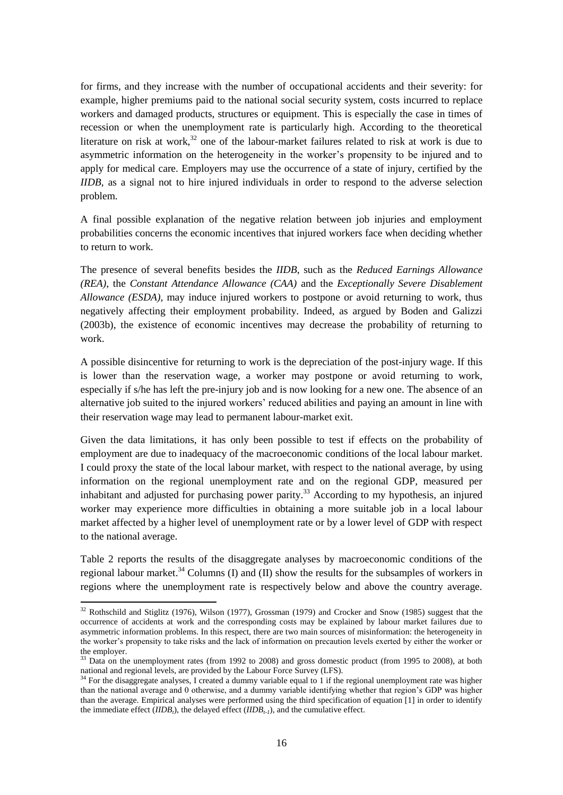Finally, I report a fourth specification in which *Injury<sub>it</sub>* was measured by the number of years of injury. I included this variable, along with its squared term, to identify the effects of the deterioration in human capital due to a state of injury on the probability of employment. The number of years of injury may be a good proxy with which to highlight the deterioration in human capital. Differently from the *IIDB<sup>i</sup>* variables, the seriousness of an injury measures the worsening of the injured worker's health conditions,<sup>26</sup> which may reduce the worker's abilities and, thus, employment chances.

The second empirical analysis that I present explored whether an occupational injury induced variations in injured workers' earnings with respect to non-injured workers at time  $t^{27}$  using the following specification:

$$
ln\_y hrl_{it} = \alpha_i + X'_{it}\gamma + \vartheta Injury_{it} + \varphi_{it}
$$
\n<sup>(2)</sup>

where  $ln\_y hrl<sub>it</sub>$  is the hourly wage of individual *i* at time *t*,  $X<sub>it</sub>$  is the vector of control variables including time varying personal characteristics, firm and job attributes (occupation, industry and number of employees at the workplace, characteristics of employment contract and presence of trade unions), and regional and time dummy variables. As in specifications [1],  $\alpha_i$  is random variable capturing unobserved heterogeneity;  $\varphi_{it}$  is the error term, which is i.i.d. over *i* and *t*. To account for time-invariant unobserved heterogeneity, I estimated earnings losses with a fixed effects estimator.

Also in this case, to evaluate the immediate effect of the shock, in the first model,  $Injury_{it}$  was measured by the dummy variable  $IIDB_{it}$ , which identified if the individual  $i$  was receiving the *IIDB* at time *t* as the consequence of a serious occupational accident.

In the second specification, I accounted for a possible time lag with the *IIDB<sup>i</sup>* variable at time *t-1* in place of the variable *IIDB<sub>it</sub>*. In this case, an additional matter of concern was that, while analysing the delayed effect of an accident on hourly wage, I had to control for possible job moves in the given period (between time *t-1* and time *t*). Injured workers may change their jobs following an occupational accident for two reasons: first, they may not want to continue working in the firm where their accident occurred; second, they may be unable to perform the activities necessary for fulfilment of their job description. Thus, when investigating the presence of the time lag of injury on wage, I added in equation [2] a variable controlling for job moves from the previous to the current period.

I then estimated the cumulative consequences of the shock on earnings by adopting an approach similar to the one used for the probability of employment: that is, I included in the specification both  $IIDB_i$  variables, at time  $t$  and at time  $t-1$ , while controlling for possible job moves, as explained above.

My final specification included the seriousness of accidents as an alternative proxy for evaluating the effects of an injury, in line with the last specification presented for the probability of employment. In this way, I accounted for the fact that earnings losses may vary with the

1

 $^{26}$  I assumed that the injured worker did not know exactly when the state of injury would finish. Consequently, I may hypothesize that the accumulation of *IIDB* measures how an injury has worsened the injured worker's health conditions, even if, during this period, medical care would lead the worker to recovery from his/her injury.

 $^{27}$  To estimate earnings losses, I restricted the sample to workers in paid employment.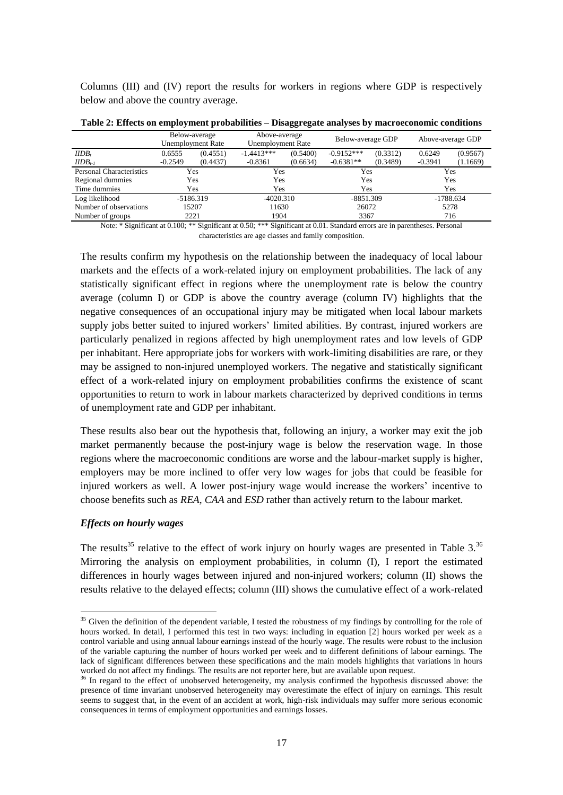duration of the accident-related injury. The reduction of productivity, directly related to the severity of the occupational injury, may significantly affect injured workers' earnings possibilities.

# **6. Empirical Results**

#### *Effects on employment probabilities*

The results of the conditional fixed effects logit estimations on employment status are presented in Table  $1.^{28}$  The specifications presented differ as explained in the previous section: column (I) reports the result relative to the effect of an injury at time *t* on employment probabilities; column (II) I sets out the delayed effect of suffering an injury at time *t-1*; column (III) shows the cumulative consequences of an accident at work as the composition of the effects at the time of the accident and the delayed ones; finally, column (IV) displays how the seriousness of an injury affects the probability of employment.<sup>29</sup>

Estimating the immediate effect (column I) shows a negative and statistically significant correlation between a work-related injury and employment probabilities. In line with the descriptive statistics in Fig.2, workers suffering an injury in the current period have a lower probability of being employed than do non-injured workers. This evidence is consistent with the findings on the probability of employment generally reported by the empirical literature in this field  $30$ 

I also find that the negative and statistically significant effect associated with a state of injury persists in the period following the injury (column II). This relationship confirms the negative impact of a serious occupational accident on the probability of employment: injured workers who were still employed after the injury at time  $t - l<sup>31</sup>$  had lower probabilities of maintaining their occupations in the following period, compared with non-injured workers.

**<sup>.</sup>**  $2<sup>8</sup>$  These results have been tested by performing logit models with robust errors to gauge how ignoring unobserved heterogeneity may affect the estimations. By comparing the results of the logit and conditional fixed effect logit models, it can be shown that ignoring unobserved heterogeneity leads to overestimation of the effect of an accident at work on employment probabilities. This result suggests that high-risk individuals, who are more likely to experience a serious accident at work, also experience more severe consequences in terms of lower employment probabilities than do non-injured workers. The results are not reported here, but are available upon request.

<sup>&</sup>lt;sup>29</sup> The table reports only the coefficients of interest, while the full set of results is available from the author upon request.

 $30$  The studies in the empirical literature (Biddle, 1998; Boden and Galizzi, 1998, 1999, 2003a; Reville, 1999; Reville and Schoeni, 2001; Reville et al., 2002; Woock, 2009a, 2009b) relatively to the US labour market and Crichton et al. (2011) and Butler et al. (2006), on, respectively, the New Zealand and Canada labour markets, find that earnings losses reported by injured workers after a serious occupational accident are largely explained by a decrease in the employment rate.

 $31$  Given the empirical strategy, the coefficient associated with an injury at time  $t$ -1 captures variations in probabilities of employment of those who transit from one labour status to the other. The interpretation of the delayed effect varies according to the estimated value of the coefficient. A positive value of the coefficient may identify higher probabilities of returning to work among injured workers at time *t-1* after having lost their jobs in the previous period. By contrast, as in my results, a negative value of the coefficient captures an additional decline in employment probabilities for injured workers still employed after the injury at time *t-1*.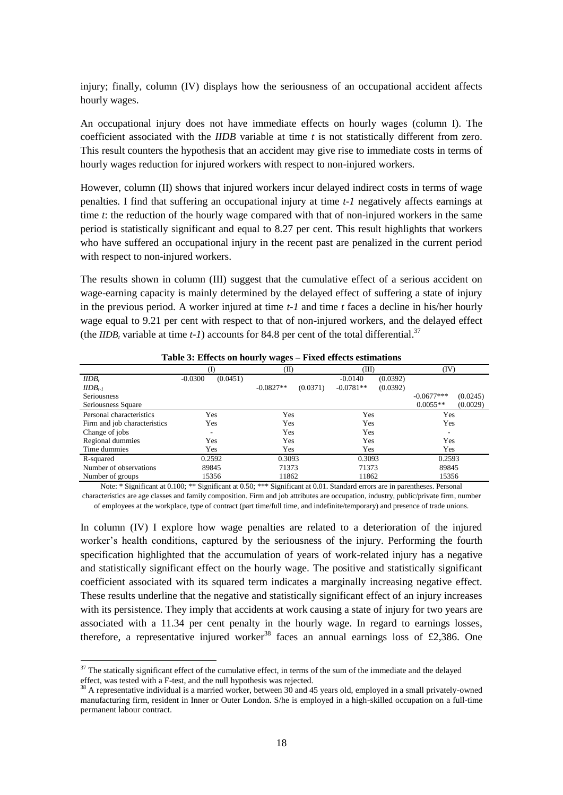|                                 |                          | (II)                    | (III)                   | (IV)                     |
|---------------------------------|--------------------------|-------------------------|-------------------------|--------------------------|
| $IIDB_t$                        | $-0.8744***$<br>(0.2641) |                         | $-0.6179**$<br>(0.2948) |                          |
| $IIDB_{t-1}$                    |                          | $-0.6846**$<br>(0.3019) | (0.3135)<br>$-0.5342*$  |                          |
| <b>Seriousness</b>              |                          |                         |                         | $-0.3126***$<br>(0.1254) |
| Seriousness Square              |                          |                         |                         | 0.0012<br>(0.0122)       |
| <b>Personal Characteristics</b> | Yes                      | Yes                     | Yes                     | Yes                      |
| Regional dummies                | Yes                      | Yes                     | Yes                     | Yes                      |
| Time dummies                    | Yes                      | Yes                     | Yes                     | Yes                      |
| Log likelihood                  | -14881.492               | $-11709.14$             | $-11706.953$            | -14873.694               |
| Number of observations          | 43464                    | 34447                   | 34447                   | 43464                    |
| Number of groups                | 5168                     | 4106                    | 4106                    | 5168                     |

**Table 1: Effects on employment probabilities - Conditional fixed effects logit estimations**

Note: \* Significant at 0.100; \*\* Significant at 0.50; \*\*\* Significant at 0.01. Standard errors are in parentheses. Personal characteristics are age classes and family composition.

When I focus on the composition of the immediate effect and the delayed one, I note that suffering an injury in the current period has a stronger negative effect on employment probabilities than an injury at time *t-1* (column III). An accident resulting in a serious injury has negative and immediate consequences on employment probabilities. However, the statistically significant effect of having suffered a state of injury at time *t-1* also highlights the difficulties in returning to work faced by injured workers who lost their job in the previous period. Thus confirmed is the existence of a negative delayed effect on the probabilities of employment in the period following the injury.

The negative effect of the occurrence of a work-related injury is confirmed when I investigate the role of the severity of an injury on employment status. The results show that employment probabilities decrease monotonically with the worsening of the injured worker's health conditions measured in terms of years of work-related injury. There is a negative and statistically significant effect of the seriousness on employment probabilities, but the coefficient associated with its squared term is statistically equal to zero. This evidence confirms that returning to work is harder for those workers who receive the *IIDB* for two or more years.

My analysis cannot as such inform on the cause of the negative relation between injuries and employment probabilities, but I can speculate on what is the most likely mechanism at work. Following an injury, a worker may be unable to carry out pre-injury tasks. The results support the idea that employers and local labour markets do not provide alternative jobs that are suited to injured workers' limited abilities. They may be induced to leave their employment, especially in the case of heavy-duty jobs or long working hours, because accidents at work have reduced their productivity. The findings thus imply that employment probabilities are negatively affected by losses of human capital due to occupational injuries. Indeed, when these losses are larger as a consequence of more serious work-related injury, the deterioration in employment probabilities is higher (column IV). The inability of employers to provide an alternative job suited to injured workers' reduced abilities may be due to the firm's size or to limited job protection. The decrease in human capital puts injured workers at a disadvantage when seeking employment in the local labour market. This is particularly the case when there are no appropriate jobs for workers with work-limiting disability, and it may thus prove to be more difficult for injured workers to find jobs suited to their abilities.

An alternative explanation of the negative relationship between accidents at work and employment probabilities is that employers are not willing to hire high-risk individuals that are injured too frequently and too seriously. The costs associated with workplace injuries are high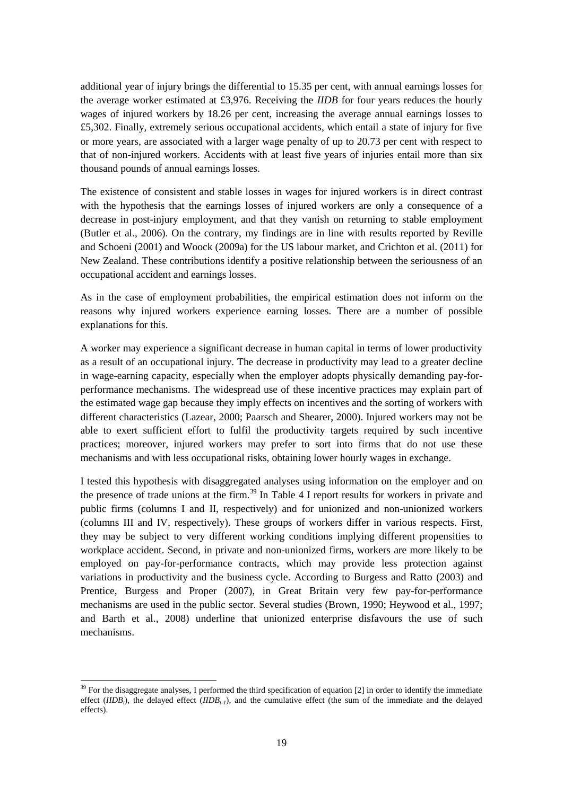for firms, and they increase with the number of occupational accidents and their severity: for example, higher premiums paid to the national social security system, costs incurred to replace workers and damaged products, structures or equipment. This is especially the case in times of recession or when the unemployment rate is particularly high. According to the theoretical literature on risk at work, $32$  one of the labour-market failures related to risk at work is due to asymmetric information on the heterogeneity in the worker's propensity to be injured and to apply for medical care. Employers may use the occurrence of a state of injury, certified by the *IIDB*, as a signal not to hire injured individuals in order to respond to the adverse selection problem.

A final possible explanation of the negative relation between job injuries and employment probabilities concerns the economic incentives that injured workers face when deciding whether to return to work.

The presence of several benefits besides the *IIDB*, such as the *Reduced Earnings Allowance (REA)*, the *Constant Attendance Allowance (CAA)* and the *Exceptionally Severe Disablement Allowance (ESDA)*, may induce injured workers to postpone or avoid returning to work, thus negatively affecting their employment probability. Indeed, as argued by Boden and Galizzi (2003b), the existence of economic incentives may decrease the probability of returning to work.

A possible disincentive for returning to work is the depreciation of the post-injury wage. If this is lower than the reservation wage, a worker may postpone or avoid returning to work, especially if s/he has left the pre-injury job and is now looking for a new one. The absence of an alternative job suited to the injured workers' reduced abilities and paying an amount in line with their reservation wage may lead to permanent labour-market exit.

Given the data limitations, it has only been possible to test if effects on the probability of employment are due to inadequacy of the macroeconomic conditions of the local labour market. I could proxy the state of the local labour market, with respect to the national average, by using information on the regional unemployment rate and on the regional GDP, measured per inhabitant and adjusted for purchasing power parity.<sup>33</sup> According to my hypothesis, an injured worker may experience more difficulties in obtaining a more suitable job in a local labour market affected by a higher level of unemployment rate or by a lower level of GDP with respect to the national average.

Table 2 reports the results of the disaggregate analyses by macroeconomic conditions of the regional labour market.<sup>34</sup> Columns (I) and (II) show the results for the subsamples of workers in regions where the unemployment rate is respectively below and above the country average.

**.** 

 $32$  Rothschild and Stiglitz (1976), Wilson (1977), Grossman (1979) and Crocker and Snow (1985) suggest that the occurrence of accidents at work and the corresponding costs may be explained by labour market failures due to asymmetric information problems. In this respect, there are two main sources of misinformation: the heterogeneity in the worker's propensity to take risks and the lack of information on precaution levels exerted by either the worker or the employer.

<sup>&</sup>lt;sup>33</sup> Data on the unemployment rates (from 1992 to 2008) and gross domestic product (from 1995 to 2008), at both national and regional levels, are provided by the Labour Force Survey (LFS).

 $34$  For the disaggregate analyses, I created a dummy variable equal to 1 if the regional unemployment rate was higher than the national average and 0 otherwise, and a dummy variable identifying whether that region's GDP was higher than the average. Empirical analyses were performed using the third specification of equation [1] in order to identify the immediate effect  $(IIDB_t)$ , the delayed effect  $(IIDB_{t-1})$ , and the cumulative effect.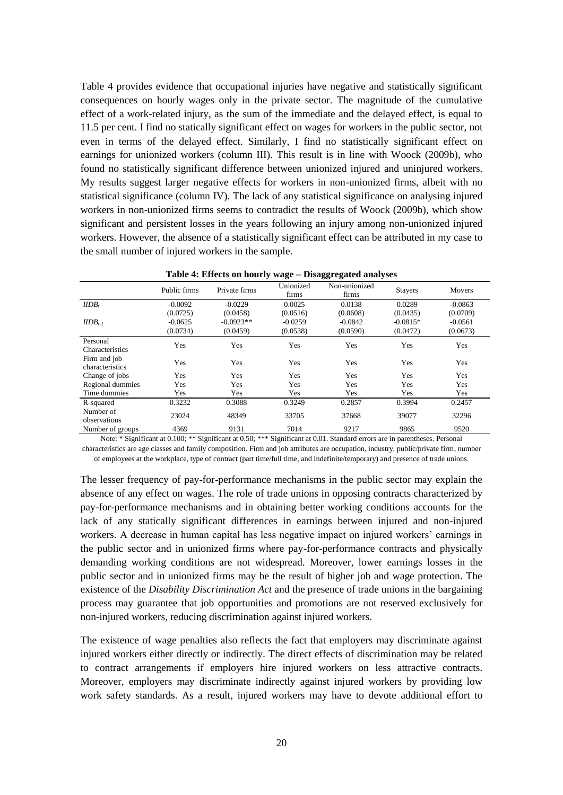Columns (III) and (IV) report the results for workers in regions where GDP is respectively below and above the country average.

|                                 |             | Below-average<br><b>Unemployment Rate</b> | Above-average<br>Unemployment Rate |          | Below-average GDP |          | Above-average GDP |          |
|---------------------------------|-------------|-------------------------------------------|------------------------------------|----------|-------------------|----------|-------------------|----------|
|                                 |             |                                           |                                    |          |                   |          |                   |          |
| $IIDB_t$                        | 0.6555      | (0.4551)                                  | $-1.4413***$                       | (0.5400) | $-0.9152***$      | (0.3312) | 0.6249            | (0.9567) |
| $IIDB_{t-1}$                    | $-0.2549$   | (0.4437)                                  | $-0.8361$                          | (0.6634) | $-0.6381**$       | (0.3489) | $-0.3941$         | (1.1669) |
| <b>Personal Characteristics</b> | Yes         |                                           | Yes                                |          | Yes               |          | Yes               |          |
| Regional dummies                |             | Yes<br>Yes                                |                                    |          | Yes               |          | Yes               |          |
| Time dummies                    |             | Yes                                       | Yes                                |          | Yes               |          | Yes               |          |
| Log likelihood                  | $-5186.319$ |                                           | $-4020.310$                        |          | $-8851.309$       |          | $-1788.634$       |          |
| Number of observations          | 15207       |                                           | 11630                              |          | 26072             |          | 5278              |          |
| Number of groups                |             | 2221                                      | 1904                               |          | 3367              |          | 716               |          |

**Table 2: Effects on employment probabilities – Disaggregate analyses by macroeconomic conditions**

Note: \* Significant at 0.100; \*\* Significant at 0.50; \*\*\* Significant at 0.01. Standard errors are in parentheses. Personal characteristics are age classes and family composition.

The results confirm my hypothesis on the relationship between the inadequacy of local labour markets and the effects of a work-related injury on employment probabilities. The lack of any statistically significant effect in regions where the unemployment rate is below the country average (column I) or GDP is above the country average (column IV) highlights that the negative consequences of an occupational injury may be mitigated when local labour markets supply jobs better suited to injured workers' limited abilities. By contrast, injured workers are particularly penalized in regions affected by high unemployment rates and low levels of GDP per inhabitant. Here appropriate jobs for workers with work-limiting disabilities are rare, or they may be assigned to non-injured unemployed workers. The negative and statistically significant effect of a work-related injury on employment probabilities confirms the existence of scant opportunities to return to work in labour markets characterized by deprived conditions in terms of unemployment rate and GDP per inhabitant.

These results also bear out the hypothesis that, following an injury, a worker may exit the job market permanently because the post-injury wage is below the reservation wage. In those regions where the macroeconomic conditions are worse and the labour-market supply is higher, employers may be more inclined to offer very low wages for jobs that could be feasible for injured workers as well. A lower post-injury wage would increase the workers' incentive to choose benefits such as *REA, CAA* and *ESD* rather than actively return to the labour market*.*

#### *Effects on hourly wages*

 $\overline{a}$ 

The results<sup>35</sup> relative to the effect of work injury on hourly wages are presented in Table 3.<sup>36</sup> Mirroring the analysis on employment probabilities, in column (I), I report the estimated differences in hourly wages between injured and non-injured workers; column (II) shows the results relative to the delayed effects; column (III) shows the cumulative effect of a work-related

 $35$  Given the definition of the dependent variable, I tested the robustness of my findings by controlling for the role of hours worked. In detail, I performed this test in two ways: including in equation [2] hours worked per week as a control variable and using annual labour earnings instead of the hourly wage. The results were robust to the inclusion of the variable capturing the number of hours worked per week and to different definitions of labour earnings. The lack of significant differences between these specifications and the main models highlights that variations in hours worked do not affect my findings. The results are not reporter here, but are available upon request.

<sup>&</sup>lt;sup>36</sup> In regard to the effect of unobserved heterogeneity, my analysis confirmed the hypothesis discussed above: the presence of time invariant unobserved heterogeneity may overestimate the effect of injury on earnings. This result seems to suggest that, in the event of an accident at work, high-risk individuals may suffer more serious economic consequences in terms of employment opportunities and earnings losses.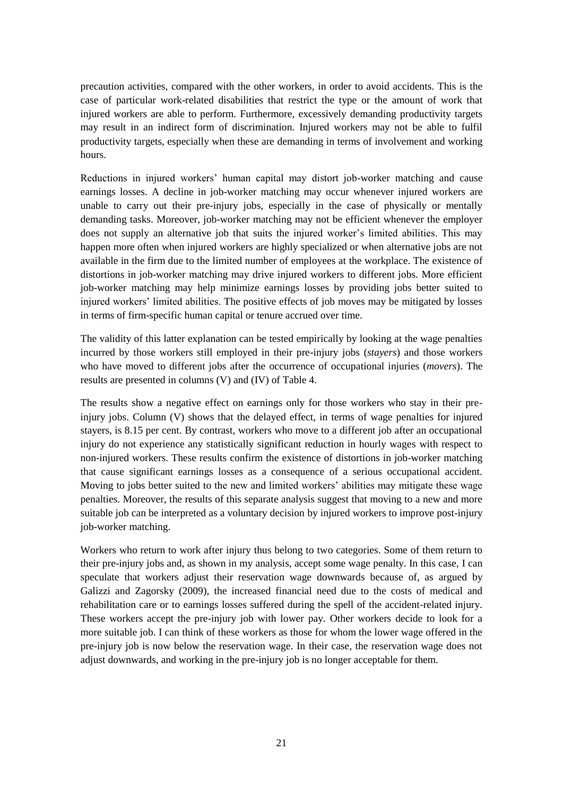injury; finally, column (IV) displays how the seriousness of an occupational accident affects hourly wages.

An occupational injury does not have immediate effects on hourly wages (column I). The coefficient associated with the *IIDB* variable at time *t* is not statistically different from zero. This result counters the hypothesis that an accident may give rise to immediate costs in terms of hourly wages reduction for injured workers with respect to non-injured workers.

However, column (II) shows that injured workers incur delayed indirect costs in terms of wage penalties. I find that suffering an occupational injury at time *t-1* negatively affects earnings at time *t*: the reduction of the hourly wage compared with that of non-injured workers in the same period is statistically significant and equal to 8.27 per cent. This result highlights that workers who have suffered an occupational injury in the recent past are penalized in the current period with respect to non-injured workers.

The results shown in column (III) suggest that the cumulative effect of a serious accident on wage-earning capacity is mainly determined by the delayed effect of suffering a state of injury in the previous period. A worker injured at time *t-1* and time *t* faces a decline in his/her hourly wage equal to 9.21 per cent with respect to that of non-injured workers, and the delayed effect (the *IIDB<sub>t</sub>* variable at time *t-1*) accounts for 84.8 per cent of the total differential.<sup>37</sup>

|                              |                       | ຼ                       |                         |                          |
|------------------------------|-----------------------|-------------------------|-------------------------|--------------------------|
|                              | T)                    | (II)                    | (III)                   | (IV)                     |
| $IIDB_t$                     | $-0.0300$<br>(0.0451) |                         | (0.0392)<br>$-0.0140$   |                          |
| $IIDB_{t-1}$                 |                       | $-0.0827**$<br>(0.0371) | $-0.0781**$<br>(0.0392) |                          |
| <b>Seriousness</b>           |                       |                         |                         | $-0.0677***$<br>(0.0245) |
| Seriousness Square           |                       |                         |                         | $0.0055**$<br>(0.0029)   |
| Personal characteristics     | Yes                   | Yes                     | Yes                     | Yes                      |
| Firm and job characteristics | Yes                   | Yes                     | Yes                     | Yes                      |
| Change of jobs               | ۰                     | Yes                     | Yes                     | ۰                        |
| Regional dummies             | Yes                   | Yes                     | Yes                     | Yes                      |
| Time dummies                 | Yes                   | Yes                     | Yes                     | Yes                      |
| R-squared                    | 0.2592                | 0.3093                  | 0.3093                  | 0.2593                   |
| Number of observations       | 89845                 | 71373                   | 71373                   | 89845                    |
| Number of groups             | 15356                 | 11862                   | 11862                   | 15356                    |

**Table 3: Effects on hourly wages – Fixed effects estimations**

Note: \* Significant at 0.100; \*\* Significant at 0.50; \*\*\* Significant at 0.01. Standard errors are in parentheses. Personal characteristics are age classes and family composition. Firm and job attributes are occupation, industry, public/private firm, number of employees at the workplace, type of contract (part time/full time, and indefinite/temporary) and presence of trade unions.

In column (IV) I explore how wage penalties are related to a deterioration of the injured worker's health conditions, captured by the seriousness of the injury. Performing the fourth specification highlighted that the accumulation of years of work-related injury has a negative and statistically significant effect on the hourly wage. The positive and statistically significant coefficient associated with its squared term indicates a marginally increasing negative effect. These results underline that the negative and statistically significant effect of an injury increases with its persistence. They imply that accidents at work causing a state of injury for two years are associated with a 11.34 per cent penalty in the hourly wage. In regard to earnings losses, therefore, a representative injured worker<sup>38</sup> faces an annual earnings loss of £2,386. One

 $\overline{a}$ 

 $37$  The statically significant effect of the cumulative effect, in terms of the sum of the immediate and the delayed effect, was tested with a F-test, and the null hypothesis was rejected.

 $38$  A representative individual is a married worker, between  $30$  and 45 years old, employed in a small privately-owned manufacturing firm, resident in Inner or Outer London. S/he is employed in a high-skilled occupation on a full-time permanent labour contract.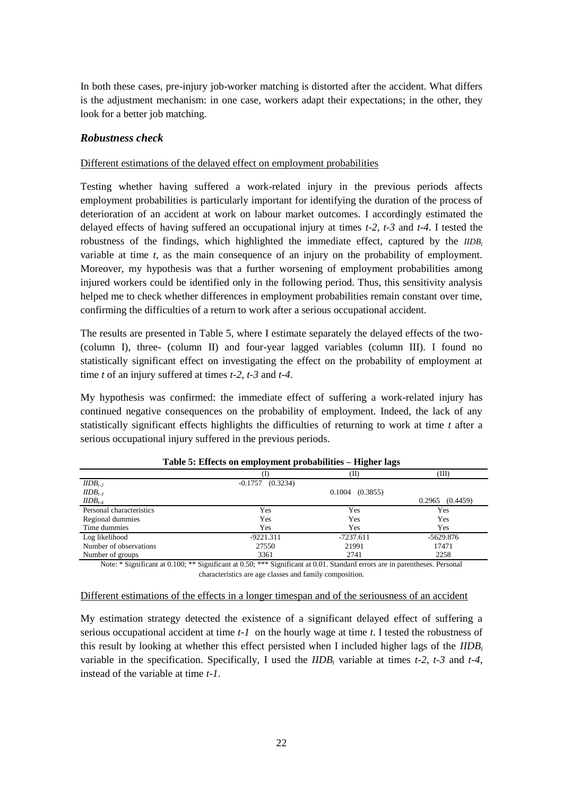additional year of injury brings the differential to 15.35 per cent, with annual earnings losses for the average worker estimated at £3,976. Receiving the *IIDB* for four years reduces the hourly wages of injured workers by 18.26 per cent, increasing the average annual earnings losses to £5,302. Finally, extremely serious occupational accidents, which entail a state of injury for five or more years, are associated with a larger wage penalty of up to 20.73 per cent with respect to that of non-injured workers. Accidents with at least five years of injuries entail more than six thousand pounds of annual earnings losses.

The existence of consistent and stable losses in wages for injured workers is in direct contrast with the hypothesis that the earnings losses of injured workers are only a consequence of a decrease in post-injury employment, and that they vanish on returning to stable employment (Butler et al., 2006). On the contrary, my findings are in line with results reported by Reville and Schoeni (2001) and Woock (2009a) for the US labour market, and Crichton et al. (2011) for New Zealand. These contributions identify a positive relationship between the seriousness of an occupational accident and earnings losses.

As in the case of employment probabilities, the empirical estimation does not inform on the reasons why injured workers experience earning losses. There are a number of possible explanations for this.

A worker may experience a significant decrease in human capital in terms of lower productivity as a result of an occupational injury. The decrease in productivity may lead to a greater decline in wage-earning capacity, especially when the employer adopts physically demanding pay-forperformance mechanisms. The widespread use of these incentive practices may explain part of the estimated wage gap because they imply effects on incentives and the sorting of workers with different characteristics (Lazear, 2000; Paarsch and Shearer, 2000). Injured workers may not be able to exert sufficient effort to fulfil the productivity targets required by such incentive practices; moreover, injured workers may prefer to sort into firms that do not use these mechanisms and with less occupational risks, obtaining lower hourly wages in exchange.

I tested this hypothesis with disaggregated analyses using information on the employer and on the presence of trade unions at the firm.<sup>39</sup> In Table 4 I report results for workers in private and public firms (columns I and II, respectively) and for unionized and non-unionized workers (columns III and IV, respectively). These groups of workers differ in various respects. First, they may be subject to very different working conditions implying different propensities to workplace accident. Second, in private and non-unionized firms, workers are more likely to be employed on pay-for-performance contracts, which may provide less protection against variations in productivity and the business cycle. According to Burgess and Ratto (2003) and Prentice, Burgess and Proper (2007), in Great Britain very few pay-for-performance mechanisms are used in the public sector. Several studies (Brown, 1990; Heywood et al., 1997; and Barth et al., 2008) underline that unionized enterprise disfavours the use of such mechanisms.

**.** 

 $39$  For the disaggregate analyses, I performed the third specification of equation [2] in order to identify the immediate effect ( $IIDB<sub>t</sub>$ ), the delayed effect ( $IIDB<sub>t-1</sub>$ ), and the cumulative effect (the sum of the immediate and the delayed effects).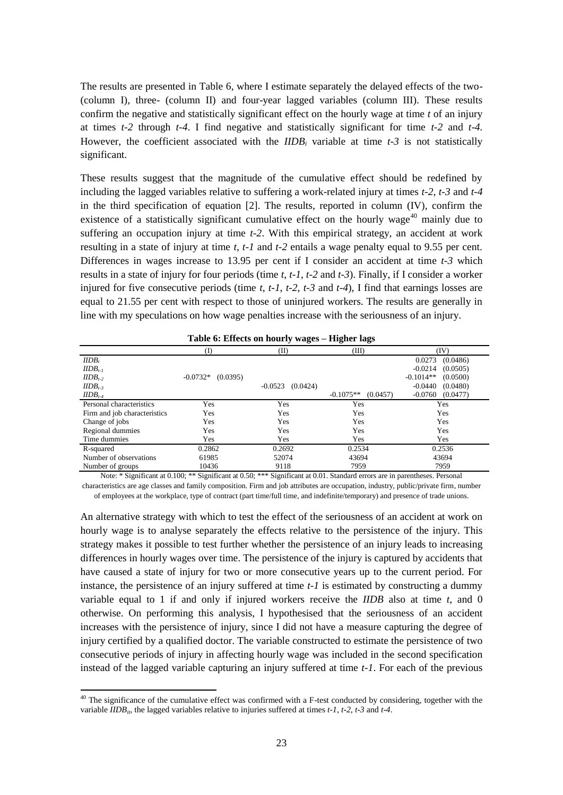Table 4 provides evidence that occupational injuries have negative and statistically significant consequences on hourly wages only in the private sector. The magnitude of the cumulative effect of a work-related injury, as the sum of the immediate and the delayed effect, is equal to 11.5 per cent. I find no statically significant effect on wages for workers in the public sector, not even in terms of the delayed effect. Similarly, I find no statistically significant effect on earnings for unionized workers (column III). This result is in line with Woock (2009b), who found no statistically significant difference between unionized injured and uninjured workers. My results suggest larger negative effects for workers in non-unionized firms, albeit with no statistical significance (column IV). The lack of any statistical significance on analysing injured workers in non-unionized firms seems to contradict the results of Woock (2009b), which show significant and persistent losses in the years following an injury among non-unionized injured workers. However, the absence of a statistically significant effect can be attributed in my case to the small number of injured workers in the sample.

| Table 4: Effects on hourly wage – Disaggregated analyses |              |               |                    |                        |                |           |  |  |
|----------------------------------------------------------|--------------|---------------|--------------------|------------------------|----------------|-----------|--|--|
|                                                          | Public firms | Private firms | Unionized<br>firms | Non-unionized<br>firms | <b>Stayers</b> | Movers    |  |  |
| $IIDB_t$                                                 | $-0.0092$    | $-0.0229$     | 0.0025             | 0.0138                 | 0.0289         | $-0.0863$ |  |  |
|                                                          | (0.0725)     | (0.0458)      | (0.0516)           | (0.0608)               | (0.0435)       | (0.0709)  |  |  |
| $IIDB_{t-1}$                                             | $-0.0625$    | $-0.0923**$   | $-0.0259$          | $-0.0842$              | $-0.0815*$     | $-0.0561$ |  |  |
|                                                          | (0.0734)     | (0.0459)      | (0.0538)           | (0.0590)               | (0.0472)       | (0.0673)  |  |  |
| Personal<br>Characteristics                              | Yes          | Yes           | Yes                | Yes                    | Yes            | Yes       |  |  |
| Firm and job<br>characteristics                          | Yes          | Yes           | Yes                | Yes                    | Yes            | Yes       |  |  |
| Change of jobs                                           | Yes          | Yes           | Yes                | Yes                    | Yes            | Yes       |  |  |
| Regional dummies                                         | Yes          | Yes           | Yes                | Yes                    | Yes            | Yes       |  |  |
| Time dummies                                             | Yes          | Yes           | Yes                | Yes                    | Yes            | Yes       |  |  |
| R-squared                                                | 0.3232       | 0.3088        | 0.3249             | 0.2857                 | 0.3994         | 0.2457    |  |  |
| Number of<br>observations                                | 23024        | 48349         | 33705              | 37668                  | 39077          | 32296     |  |  |
| Number of groups                                         | 4369         | 9131          | 7014               | 9217                   | 9865           | 9520      |  |  |

| Table 4: Effects on hourly wage - Disaggregated analyses |  |  |
|----------------------------------------------------------|--|--|
|----------------------------------------------------------|--|--|

Note: \* Significant at 0.100; \*\* Significant at 0.50; \*\*\* Significant at 0.01. Standard errors are in parentheses. Personal characteristics are age classes and family composition. Firm and job attributes are occupation, industry, public/private firm, number of employees at the workplace, type of contract (part time/full time, and indefinite/temporary) and presence of trade unions.

The lesser frequency of pay-for-performance mechanisms in the public sector may explain the absence of any effect on wages. The role of trade unions in opposing contracts characterized by pay-for-performance mechanisms and in obtaining better working conditions accounts for the lack of any statically significant differences in earnings between injured and non-injured workers. A decrease in human capital has less negative impact on injured workers' earnings in the public sector and in unionized firms where pay-for-performance contracts and physically demanding working conditions are not widespread. Moreover, lower earnings losses in the public sector and in unionized firms may be the result of higher job and wage protection. The existence of the *Disability Discrimination Act* and the presence of trade unions in the bargaining process may guarantee that job opportunities and promotions are not reserved exclusively for non-injured workers, reducing discrimination against injured workers.

The existence of wage penalties also reflects the fact that employers may discriminate against injured workers either directly or indirectly. The direct effects of discrimination may be related to contract arrangements if employers hire injured workers on less attractive contracts. Moreover, employers may discriminate indirectly against injured workers by providing low work safety standards. As a result, injured workers may have to devote additional effort to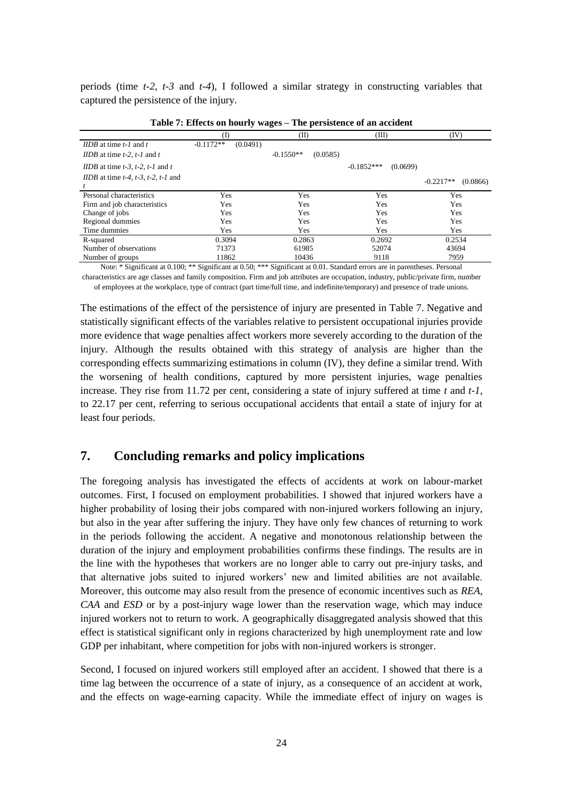precaution activities, compared with the other workers, in order to avoid accidents. This is the case of particular work-related disabilities that restrict the type or the amount of work that injured workers are able to perform. Furthermore, excessively demanding productivity targets may result in an indirect form of discrimination. Injured workers may not be able to fulfil productivity targets, especially when these are demanding in terms of involvement and working hours.

Reductions in injured workers' human capital may distort job-worker matching and cause earnings losses. A decline in job-worker matching may occur whenever injured workers are unable to carry out their pre-injury jobs, especially in the case of physically or mentally demanding tasks. Moreover, job-worker matching may not be efficient whenever the employer does not supply an alternative job that suits the injured worker's limited abilities. This may happen more often when injured workers are highly specialized or when alternative jobs are not available in the firm due to the limited number of employees at the workplace. The existence of distortions in job-worker matching may drive injured workers to different jobs. More efficient job-worker matching may help minimize earnings losses by providing jobs better suited to injured workers' limited abilities. The positive effects of job moves may be mitigated by losses in terms of firm-specific human capital or tenure accrued over time.

The validity of this latter explanation can be tested empirically by looking at the wage penalties incurred by those workers still employed in their pre-injury jobs (*stayers*) and those workers who have moved to different jobs after the occurrence of occupational injuries (*movers*). The results are presented in columns (V) and (IV) of Table 4.

The results show a negative effect on earnings only for those workers who stay in their preinjury jobs. Column (V) shows that the delayed effect, in terms of wage penalties for injured stayers, is 8.15 per cent. By contrast, workers who move to a different job after an occupational injury do not experience any statistically significant reduction in hourly wages with respect to non-injured workers. These results confirm the existence of distortions in job-worker matching that cause significant earnings losses as a consequence of a serious occupational accident. Moving to jobs better suited to the new and limited workers' abilities may mitigate these wage penalties. Moreover, the results of this separate analysis suggest that moving to a new and more suitable job can be interpreted as a voluntary decision by injured workers to improve post-injury job-worker matching.

Workers who return to work after injury thus belong to two categories. Some of them return to their pre-injury jobs and, as shown in my analysis, accept some wage penalty. In this case, I can speculate that workers adjust their reservation wage downwards because of, as argued by Galizzi and Zagorsky (2009), the increased financial need due to the costs of medical and rehabilitation care or to earnings losses suffered during the spell of the accident-related injury. These workers accept the pre-injury job with lower pay. Other workers decide to look for a more suitable job. I can think of these workers as those for whom the lower wage offered in the pre-injury job is now below the reservation wage. In their case, the reservation wage does not adjust downwards, and working in the pre-injury job is no longer acceptable for them.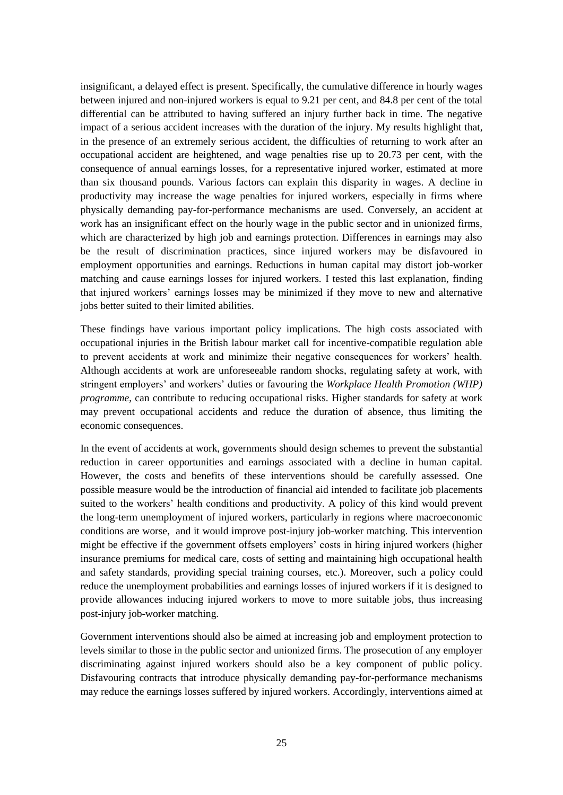In both these cases, pre-injury job-worker matching is distorted after the accident. What differs is the adjustment mechanism: in one case, workers adapt their expectations; in the other, they look for a better job matching.

#### *Robustness check*

#### Different estimations of the delayed effect on employment probabilities

Testing whether having suffered a work-related injury in the previous periods affects employment probabilities is particularly important for identifying the duration of the process of deterioration of an accident at work on labour market outcomes. I accordingly estimated the delayed effects of having suffered an occupational injury at times *t-2*, *t-3* and *t-4*. I tested the robustness of the findings, which highlighted the immediate effect, captured by the *IIDB<sup>i</sup>* variable at time *t*, as the main consequence of an injury on the probability of employment. Moreover, my hypothesis was that a further worsening of employment probabilities among injured workers could be identified only in the following period. Thus, this sensitivity analysis helped me to check whether differences in employment probabilities remain constant over time, confirming the difficulties of a return to work after a serious occupational accident.

The results are presented in Table 5, where I estimate separately the delayed effects of the two- (column I), three- (column II) and four-year lagged variables (column III). I found no statistically significant effect on investigating the effect on the probability of employment at time *t* of an injury suffered at times *t-2*, *t-3* and *t-4*.

My hypothesis was confirmed: the immediate effect of suffering a work-related injury has continued negative consequences on the probability of employment. Indeed, the lack of any statistically significant effects highlights the difficulties of returning to work at time *t* after a serious occupational injury suffered in the previous periods.

|                          |                                                                                                                          | (II)                | (III)              |
|--------------------------|--------------------------------------------------------------------------------------------------------------------------|---------------------|--------------------|
| $IIDB_{t-2}$             | $-0.1757$<br>(0.3234)                                                                                                    |                     |                    |
| $IIDB_{t-3}$             |                                                                                                                          | $0.1004$ $(0.3855)$ |                    |
| $IIDB_{t-4}$             |                                                                                                                          |                     | (0.4459)<br>0.2965 |
| Personal characteristics | Yes                                                                                                                      | Yes                 | Yes                |
| Regional dummies         | Yes                                                                                                                      | Yes                 | Yes                |
| Time dummies             | Yes                                                                                                                      | Yes                 | Yes                |
| Log likelihood           | $-9221.311$                                                                                                              | $-7237.611$         | $-5629.876$        |
| Number of observations   | 27550                                                                                                                    | 21991               | 17471              |
| Number of groups         | 3361                                                                                                                     | 2741                | 2258               |
|                          | Notes * Cigaificant at 0.100; ** Cigaificant at 0.50; *** Cigaificant at 0.01. Ctandard among are in narratheose. Demand |                     |                    |

| Table 5: Effects on employment probabilities - Higher lags |  |
|------------------------------------------------------------|--|
|------------------------------------------------------------|--|

Note: \* Significant at 0.100; \*\* Significant at 0.50; \*\*\* Significant at 0.01. Standard errors are in parentheses. Personal characteristics are age classes and family composition.

#### Different estimations of the effects in a longer timespan and of the seriousness of an accident

My estimation strategy detected the existence of a significant delayed effect of suffering a serious occupational accident at time *t-1* on the hourly wage at time *t*. I tested the robustness of this result by looking at whether this effect persisted when I included higher lags of the *IIDB<sup>i</sup>* variable in the specification. Specifically, I used the *IIDB<sup>i</sup>* variable at times *t-2*, *t-3* and *t-4*, instead of the variable at time *t-1*.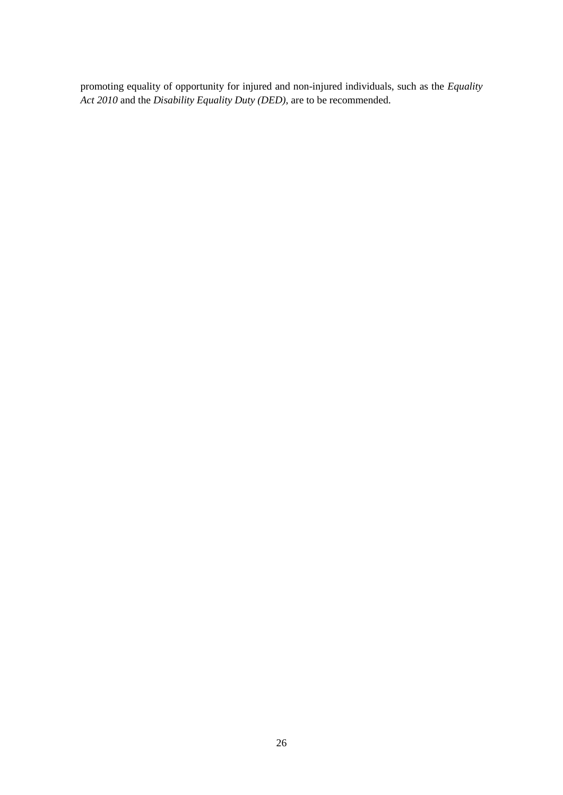The results are presented in Table 6, where I estimate separately the delayed effects of the two- (column I), three- (column II) and four-year lagged variables (column III). These results confirm the negative and statistically significant effect on the hourly wage at time *t* of an injury at times *t-2* through *t-4*. I find negative and statistically significant for time *t-2* and *t-4.* However, the coefficient associated with the *IIDB<sup>i</sup>* variable at time *t-3* is not statistically significant.

These results suggest that the magnitude of the cumulative effect should be redefined by including the lagged variables relative to suffering a work-related injury at times *t-2*, *t-3* and *t-4* in the third specification of equation [2]. The results, reported in column (IV), confirm the existence of a statistically significant cumulative effect on the hourly wage<sup>40</sup> mainly due to suffering an occupation injury at time *t-2*. With this empirical strategy, an accident at work resulting in a state of injury at time *t*, *t-1* and *t-2* entails a wage penalty equal to 9.55 per cent. Differences in wages increase to 13.95 per cent if I consider an accident at time *t-3* which results in a state of injury for four periods (time *t*, *t-1*, *t-2* and *t-3*). Finally, if I consider a worker injured for five consecutive periods (time *t*, *t-1*, *t-2*, *t-3* and *t-4*), I find that earnings losses are equal to 21.55 per cent with respect to those of uninjured workers. The results are generally in line with my speculations on how wage penalties increase with the seriousness of an injury.

| Table 6: Effects on hourly wages – Higher lags |                        |                       |                         |                         |  |  |  |
|------------------------------------------------|------------------------|-----------------------|-------------------------|-------------------------|--|--|--|
|                                                | D)                     | (II)                  | (III)                   | (IV)                    |  |  |  |
| $IIDB_t$                                       |                        |                       |                         | (0.0486)<br>0.0273      |  |  |  |
| $IIDB_{t-1}$                                   |                        |                       |                         | $-0.0214$<br>(0.0505)   |  |  |  |
| $IIDB_{t-2}$                                   | $-0.0732*$<br>(0.0395) |                       |                         | $-0.1014**$<br>(0.0500) |  |  |  |
| $IIDB_{t-3}$                                   |                        | $-0.0523$<br>(0.0424) |                         | $-0.0440$<br>(0.0480)   |  |  |  |
| $IIDB_{t-4}$                                   |                        |                       | $-0.1075**$<br>(0.0457) | $-0.0760$<br>(0.0477)   |  |  |  |
| Personal characteristics                       | Yes                    | Yes                   | Yes                     | Yes                     |  |  |  |
| Firm and job characteristics                   | Yes                    | Yes                   | Yes                     | Yes                     |  |  |  |
| Change of jobs                                 | Yes                    | Yes                   | Yes                     | Yes                     |  |  |  |
| Regional dummies                               | Yes                    | Yes                   | Yes                     | Yes                     |  |  |  |
| Time dummies                                   | Yes                    | Yes                   | Yes                     | Yes                     |  |  |  |
| R-squared                                      | 0.2862                 | 0.2692                | 0.2534                  | 0.2536                  |  |  |  |
| Number of observations                         | 61985                  | 52074                 | 43694                   | 43694                   |  |  |  |
| Number of groups                               | 10436                  | 9118                  | 7959                    | 7959                    |  |  |  |

| Table 6: Effects on hourly wages - Higher lags |  |  |  |  |  |  |
|------------------------------------------------|--|--|--|--|--|--|
|------------------------------------------------|--|--|--|--|--|--|

Note: \* Significant at 0.100; \*\* Significant at 0.50; \*\*\* Significant at 0.01. Standard errors are in parentheses. Personal characteristics are age classes and family composition. Firm and job attributes are occupation, industry, public/private firm, number of employees at the workplace, type of contract (part time/full time, and indefinite/temporary) and presence of trade unions.

An alternative strategy with which to test the effect of the seriousness of an accident at work on hourly wage is to analyse separately the effects relative to the persistence of the injury. This strategy makes it possible to test further whether the persistence of an injury leads to increasing differences in hourly wages over time. The persistence of the injury is captured by accidents that have caused a state of injury for two or more consecutive years up to the current period. For instance, the persistence of an injury suffered at time *t-1* is estimated by constructing a dummy variable equal to 1 if and only if injured workers receive the *IIDB* also at time *t*, and 0 otherwise. On performing this analysis, I hypothesised that the seriousness of an accident increases with the persistence of injury, since I did not have a measure capturing the degree of injury certified by a qualified doctor. The variable constructed to estimate the persistence of two consecutive periods of injury in affecting hourly wage was included in the second specification instead of the lagged variable capturing an injury suffered at time *t-1*. For each of the previous

 $\overline{a}$ 

 $40$  The significance of the cumulative effect was confirmed with a F-test conducted by considering, together with the variable *IIDB<sub>it</sub>*, the lagged variables relative to injuries suffered at times  $t-1$ ,  $t-2$ ,  $t-3$  and  $t-4$ .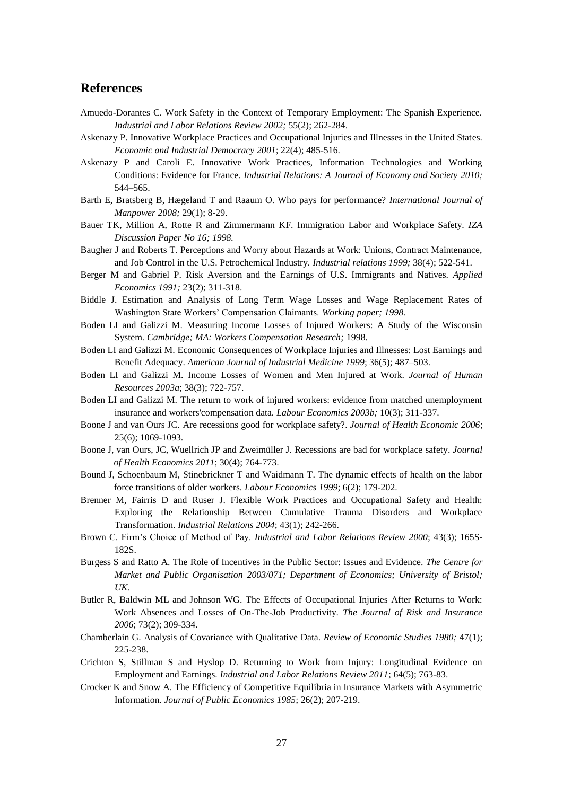periods (time *t-2*, *t-3* and *t-4*), I followed a similar strategy in constructing variables that captured the persistence of the injury.

|                                                       | $1.4010 \pm 1.2110000$ on nothing $1.4000$ |          |             |          | The persistence of an accreent |          |             |          |
|-------------------------------------------------------|--------------------------------------------|----------|-------------|----------|--------------------------------|----------|-------------|----------|
|                                                       | (I)                                        |          | (II)        |          | (III)                          |          | (IV)        |          |
| $HDB$ at time $t-1$ and $t$                           | $-0.1172**$                                | (0.0491) |             |          |                                |          |             |          |
| $IIDB$ at time $t-2$ , $t-1$ and $t$                  |                                            |          | $-0.1550**$ | (0.0585) |                                |          |             |          |
| <i>IIDB</i> at time $t-3$ , $t-2$ , $t-1$ and $t$     |                                            |          |             |          | $-0.1852***$                   | (0.0699) |             |          |
| <i>IIDB</i> at time $t-4$ , $t-3$ , $t-2$ , $t-1$ and |                                            |          |             |          |                                |          | $-0.2217**$ | (0.0866) |
|                                                       |                                            |          |             |          |                                |          |             |          |
| Personal characteristics                              | <b>Yes</b>                                 |          | Yes         |          | Yes                            |          | Yes         |          |
| Firm and job characteristics                          | Yes                                        |          | Yes         |          | Yes                            |          | Yes         |          |
| Change of jobs                                        | Yes                                        |          | Yes         |          | Yes                            |          | Yes         |          |
| Regional dummies                                      | Yes                                        |          | Yes         |          | Yes                            |          | Yes         |          |
| Time dummies                                          | Yes                                        |          | Yes         |          | Yes                            |          | Yes         |          |
| R-squared                                             | 0.3094                                     |          | 0.2863      |          | 0.2692                         |          | 0.2534      |          |
| Number of observations                                | 71373                                      |          | 61985       |          | 52074                          |          | 43694       |          |
| Number of groups                                      | 11862                                      |          | 10436       |          | 9118                           |          | 7959        |          |

**Table 7: Effects on hourly wages – The persistence of an accident** 

Note: \* Significant at 0.100; \*\* Significant at 0.50; \*\*\* Significant at 0.01. Standard errors are in parentheses. Personal characteristics are age classes and family composition. Firm and job attributes are occupation, industry, public/private firm, number of employees at the workplace, type of contract (part time/full time, and indefinite/temporary) and presence of trade unions.

The estimations of the effect of the persistence of injury are presented in Table 7. Negative and statistically significant effects of the variables relative to persistent occupational injuries provide more evidence that wage penalties affect workers more severely according to the duration of the injury. Although the results obtained with this strategy of analysis are higher than the corresponding effects summarizing estimations in column (IV), they define a similar trend. With the worsening of health conditions, captured by more persistent injuries, wage penalties increase. They rise from 11.72 per cent, considering a state of injury suffered at time *t* and *t-1*, to 22.17 per cent, referring to serious occupational accidents that entail a state of injury for at least four periods.

# **7. Concluding remarks and policy implications**

The foregoing analysis has investigated the effects of accidents at work on labour-market outcomes. First, I focused on employment probabilities. I showed that injured workers have a higher probability of losing their jobs compared with non-injured workers following an injury, but also in the year after suffering the injury. They have only few chances of returning to work in the periods following the accident. A negative and monotonous relationship between the duration of the injury and employment probabilities confirms these findings. The results are in the line with the hypotheses that workers are no longer able to carry out pre-injury tasks, and that alternative jobs suited to injured workers' new and limited abilities are not available. Moreover, this outcome may also result from the presence of economic incentives such as *REA, CAA* and *ESD* or by a post-injury wage lower than the reservation wage, which may induce injured workers not to return to work. A geographically disaggregated analysis showed that this effect is statistical significant only in regions characterized by high unemployment rate and low GDP per inhabitant, where competition for jobs with non-injured workers is stronger.

Second, I focused on injured workers still employed after an accident. I showed that there is a time lag between the occurrence of a state of injury, as a consequence of an accident at work, and the effects on wage-earning capacity. While the immediate effect of injury on wages is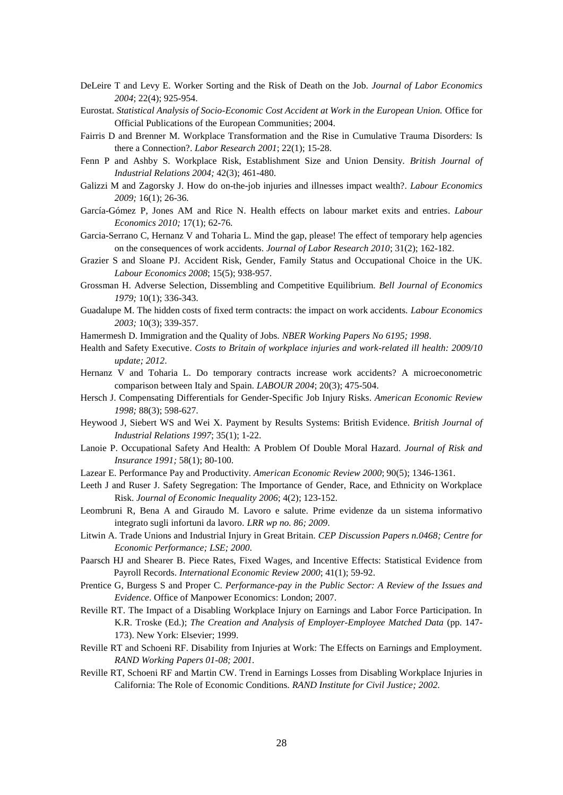insignificant, a delayed effect is present. Specifically, the cumulative difference in hourly wages between injured and non-injured workers is equal to 9.21 per cent, and 84.8 per cent of the total differential can be attributed to having suffered an injury further back in time. The negative impact of a serious accident increases with the duration of the injury. My results highlight that, in the presence of an extremely serious accident, the difficulties of returning to work after an occupational accident are heightened, and wage penalties rise up to 20.73 per cent, with the consequence of annual earnings losses, for a representative injured worker, estimated at more than six thousand pounds. Various factors can explain this disparity in wages. A decline in productivity may increase the wage penalties for injured workers, especially in firms where physically demanding pay-for-performance mechanisms are used. Conversely, an accident at work has an insignificant effect on the hourly wage in the public sector and in unionized firms, which are characterized by high job and earnings protection. Differences in earnings may also be the result of discrimination practices, since injured workers may be disfavoured in employment opportunities and earnings. Reductions in human capital may distort job-worker matching and cause earnings losses for injured workers. I tested this last explanation, finding that injured workers' earnings losses may be minimized if they move to new and alternative jobs better suited to their limited abilities.

These findings have various important policy implications. The high costs associated with occupational injuries in the British labour market call for incentive-compatible regulation able to prevent accidents at work and minimize their negative consequences for workers' health. Although accidents at work are unforeseeable random shocks, regulating safety at work, with stringent employers' and workers' duties or favouring the *Workplace Health Promotion (WHP) programme*, can contribute to reducing occupational risks. Higher standards for safety at work may prevent occupational accidents and reduce the duration of absence, thus limiting the economic consequences.

In the event of accidents at work, governments should design schemes to prevent the substantial reduction in career opportunities and earnings associated with a decline in human capital. However, the costs and benefits of these interventions should be carefully assessed. One possible measure would be the introduction of financial aid intended to facilitate job placements suited to the workers' health conditions and productivity. A policy of this kind would prevent the long-term unemployment of injured workers, particularly in regions where macroeconomic conditions are worse, and it would improve post-injury job-worker matching. This intervention might be effective if the government offsets employers' costs in hiring injured workers (higher insurance premiums for medical care, costs of setting and maintaining high occupational health and safety standards, providing special training courses, etc.). Moreover, such a policy could reduce the unemployment probabilities and earnings losses of injured workers if it is designed to provide allowances inducing injured workers to move to more suitable jobs, thus increasing post-injury job-worker matching.

Government interventions should also be aimed at increasing job and employment protection to levels similar to those in the public sector and unionized firms. The prosecution of any employer discriminating against injured workers should also be a key component of public policy. Disfavouring contracts that introduce physically demanding pay-for-performance mechanisms may reduce the earnings losses suffered by injured workers. Accordingly, interventions aimed at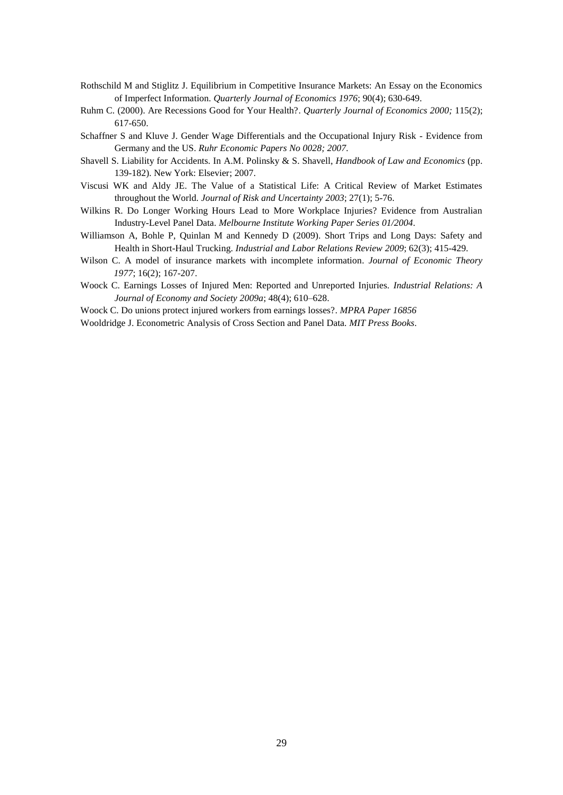promoting equality of opportunity for injured and non-injured individuals, such as the *Equality Act 2010* and the *Disability Equality Duty (DED)*, are to be recommended.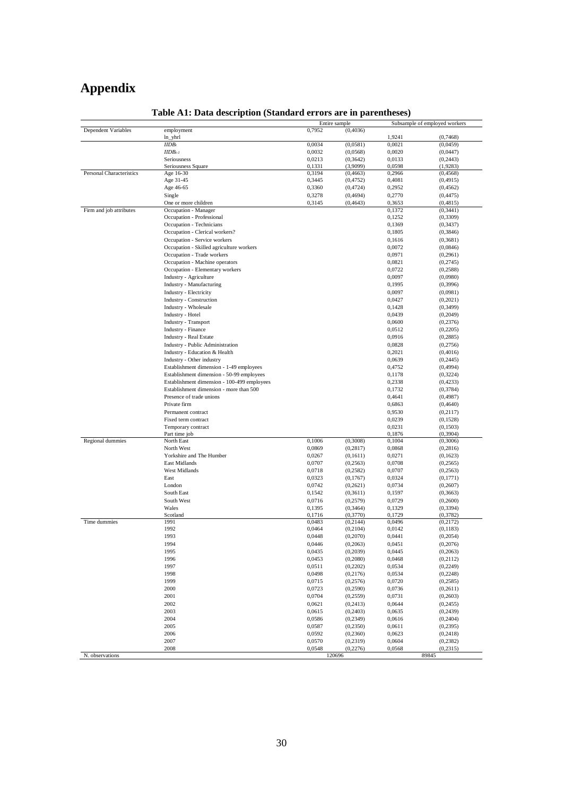## **References**

- Amuedo-Dorantes C. Work Safety in the Context of Temporary Employment: The Spanish Experience. *Industrial and Labor Relations Review 2002;* 55(2); 262-284.
- Askenazy P. Innovative Workplace Practices and Occupational Injuries and Illnesses in the United States. *Economic and Industrial Democracy 2001*; 22(4); 485-516.
- Askenazy P and Caroli E. Innovative Work Practices, Information Technologies and Working Conditions: Evidence for France. *Industrial Relations: A Journal of Economy and Society 2010;* 544–565.
- Barth E, Bratsberg B, Hægeland T and Raaum O. Who pays for performance? *International Journal of Manpower 2008;* 29(1); 8-29.
- Bauer TK, Million A, Rotte R and Zimmermann KF. Immigration Labor and Workplace Safety. *IZA Discussion Paper No 16; 1998.*
- Baugher J and Roberts T. Perceptions and Worry about Hazards at Work: Unions, Contract Maintenance, and Job Control in the U.S. Petrochemical Industry. *Industrial relations 1999;* 38(4); 522-541.
- Berger M and Gabriel P. Risk Aversion and the Earnings of U.S. Immigrants and Natives. *Applied Economics 1991;* 23(2); 311-318.
- Biddle J. Estimation and Analysis of Long Term Wage Losses and Wage Replacement Rates of Washington State Workers' Compensation Claimants. *Working paper; 1998.*
- Boden LI and Galizzi M. Measuring Income Losses of Injured Workers: A Study of the Wisconsin System. *Cambridge; MA: Workers Compensation Research;* 1998*.*
- Boden LI and Galizzi M. Economic Consequences of Workplace Injuries and Illnesses: Lost Earnings and Benefit Adequacy. *American Journal of Industrial Medicine 1999*; 36(5); 487–503.
- Boden LI and Galizzi M. Income Losses of Women and Men Injured at Work. *Journal of Human Resources 2003a*; 38(3); 722-757.
- Boden LI and Galizzi M. The return to work of injured workers: evidence from matched unemployment insurance and workers'compensation data. *Labour Economics 2003b;* 10(3); 311-337.
- Boone J and van Ours JC. Are recessions good for workplace safety?. *Journal of Health Economic 2006*; 25(6); 1069-1093.
- Boone J, van Ours, JC, Wuellrich JP and Zweimüller J. Recessions are bad for workplace safety. *Journal of Health Economics 2011*; 30(4); 764-773.
- Bound J, Schoenbaum M, Stinebrickner T and Waidmann T. The dynamic effects of health on the labor force transitions of older workers. *Labour Economics 1999*; 6(2); 179-202.
- Brenner M, Fairris D and Ruser J. Flexible Work Practices and Occupational Safety and Health: Exploring the Relationship Between Cumulative Trauma Disorders and Workplace Transformation. *Industrial Relations 2004*; 43(1); 242-266.
- Brown C. Firm's Choice of Method of Pay. *Industrial and Labor Relations Review 2000*; 43(3); 165S-182S.
- Burgess S and Ratto A. The Role of Incentives in the Public Sector: Issues and Evidence. *The Centre for Market and Public Organisation 2003/071; Department of Economics; University of Bristol; UK.*
- Butler R, Baldwin ML and Johnson WG. The Effects of Occupational Injuries After Returns to Work: Work Absences and Losses of On-The-Job Productivity. *The Journal of Risk and Insurance 2006*; 73(2); 309-334.
- Chamberlain G. Analysis of Covariance with Qualitative Data. *Review of Economic Studies 1980;* 47(1); 225-238.
- Crichton S, Stillman S and Hyslop D. Returning to Work from Injury: Longitudinal Evidence on Employment and Earnings. *Industrial and Labor Relations Review 2011*; 64(5); 763-83.
- Crocker K and Snow A. The Efficiency of Competitive Equilibria in Insurance Markets with Asymmetric Information. *Journal of Public Economics 1985*; 26(2); 207-219.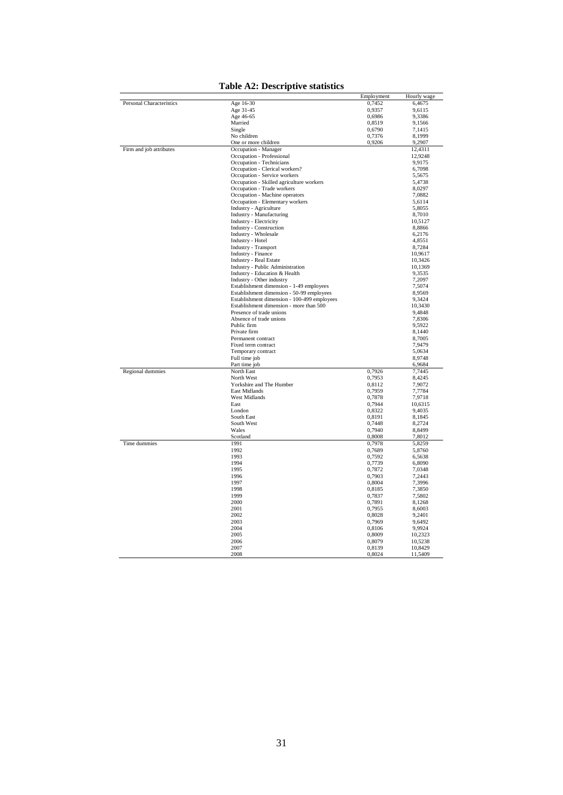- DeLeire T and Levy E. Worker Sorting and the Risk of Death on the Job. *Journal of Labor Economics 2004*; 22(4); 925-954.
- Eurostat. *Statistical Analysis of Socio-Economic Cost Accident at Work in the European Union.* Office for Official Publications of the European Communities; 2004.
- Fairris D and Brenner M. Workplace Transformation and the Rise in Cumulative Trauma Disorders: Is there a Connection?. *Labor Research 2001*; 22(1); 15-28.
- Fenn P and Ashby S. Workplace Risk, Establishment Size and Union Density. *British Journal of Industrial Relations 2004;* 42(3); 461-480.
- Galizzi M and Zagorsky J. How do on-the-job injuries and illnesses impact wealth?. *Labour Economics 2009;* 16(1); 26-36*.*
- García-Gómez P, Jones AM and Rice N. Health effects on labour market exits and entries. *Labour Economics 2010;* 17(1); 62-76.
- Garcia-Serrano C, Hernanz V and Toharia L. Mind the gap, please! The effect of temporary help agencies on the consequences of work accidents. *Journal of Labor Research 2010*; 31(2); 162-182.
- Grazier S and Sloane PJ. Accident Risk, Gender, Family Status and Occupational Choice in the UK. *Labour Economics 2008*; 15(5); 938-957.
- Grossman H. Adverse Selection, Dissembling and Competitive Equilibrium. *Bell Journal of Economics 1979;* 10(1); 336-343.
- Guadalupe M. The hidden costs of fixed term contracts: the impact on work accidents. *Labour Economics 2003;* 10(3); 339-357.

Hamermesh D. Immigration and the Quality of Jobs. *NBER Working Papers No 6195; 1998*.

- Health and Safety Executive. *Costs to Britain of workplace injuries and work-related ill health: 2009/10 update; 2012*.
- Hernanz V and Toharia L. Do temporary contracts increase work accidents? A microeconometric comparison between Italy and Spain. *LABOUR 2004*; 20(3); 475-504.
- Hersch J. Compensating Differentials for Gender-Specific Job Injury Risks. *American Economic Review 1998;* 88(3); 598-627.
- Heywood J, Siebert WS and Wei X. Payment by Results Systems: British Evidence. *British Journal of Industrial Relations 1997*; 35(1); 1-22.
- Lanoie P. Occupational Safety And Health: A Problem Of Double Moral Hazard. *Journal of Risk and Insurance 1991;* 58(1); 80-100.
- Lazear E. Performance Pay and Productivity. *American Economic Review 2000*; 90(5); 1346-1361.
- Leeth J and Ruser J. Safety Segregation: The Importance of Gender, Race, and Ethnicity on Workplace Risk. *Journal of Economic Inequality 2006*; 4(2); 123-152.
- Leombruni R, Bena A and Giraudo M. Lavoro e salute. Prime evidenze da un sistema informativo integrato sugli infortuni da lavoro. *LRR wp no. 86; 2009*.
- Litwin A. Trade Unions and Industrial Injury in Great Britain. *CEP Discussion Papers n.0468; Centre for Economic Performance; LSE; 2000*.
- Paarsch HJ and Shearer B. Piece Rates, Fixed Wages, and Incentive Effects: Statistical Evidence from Payroll Records. *International Economic Review 2000*; 41(1); 59-92.
- Prentice G, Burgess S and Proper C. *Performance-pay in the Public Sector: A Review of the Issues and Evidence*. Office of Manpower Economics: London; 2007.
- Reville RT. The Impact of a Disabling Workplace Injury on Earnings and Labor Force Participation. In K.R. Troske (Ed.); *The Creation and Analysis of Employer-Employee Matched Data* (pp. 147- 173). New York: Elsevier; 1999.
- Reville RT and Schoeni RF. Disability from Injuries at Work: The Effects on Earnings and Employment. *RAND Working Papers 01-08; 2001.*
- Reville RT, Schoeni RF and Martin CW. Trend in Earnings Losses from Disabling Workplace Injuries in California: The Role of Economic Conditions. *RAND Institute for Civil Justice; 2002.*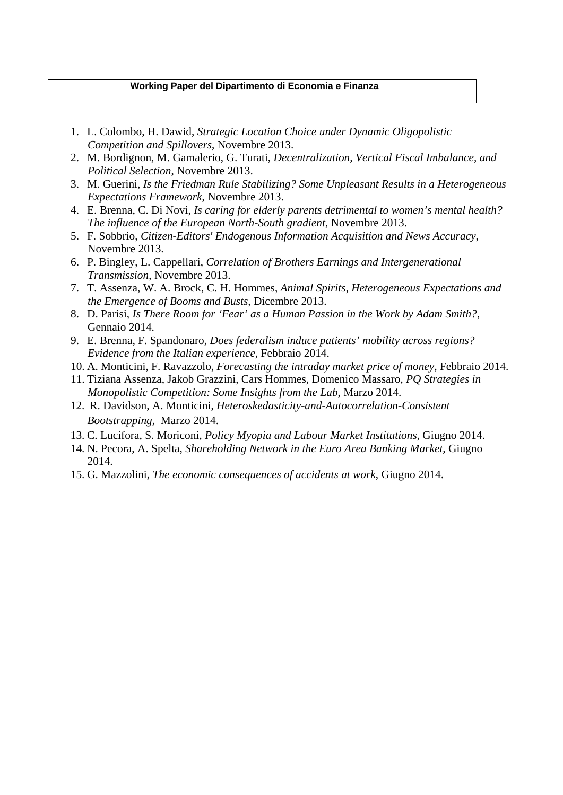- Rothschild M and Stiglitz J. Equilibrium in Competitive Insurance Markets: An Essay on the Economics of Imperfect Information. *Quarterly Journal of Economics 1976*; 90(4); 630-649.
- Ruhm C. (2000). Are Recessions Good for Your Health?. *Quarterly Journal of Economics 2000;* 115(2); 617-650.
- Schaffner S and Kluve J. Gender Wage Differentials and the Occupational Injury Risk Evidence from Germany and the US. *Ruhr Economic Papers No 0028; 2007*.
- Shavell S. Liability for Accidents. In A.M. Polinsky & S. Shavell, *Handbook of Law and Economics* (pp. 139-182). New York: Elsevier; 2007.
- Viscusi WK and Aldy JE. The Value of a Statistical Life: A Critical Review of Market Estimates throughout the World. *Journal of Risk and Uncertainty 2003*; 27(1); 5-76.
- Wilkins R. Do Longer Working Hours Lead to More Workplace Injuries? Evidence from Australian Industry-Level Panel Data. *Melbourne Institute Working Paper Series 01/2004*.
- Williamson A, Bohle P, Quinlan M and Kennedy D (2009). Short Trips and Long Days: Safety and Health in Short-Haul Trucking. *Industrial and Labor Relations Review 2009*; 62(3); 415-429.
- Wilson C. A model of insurance markets with incomplete information. *Journal of Economic Theory 1977*; 16(2); 167-207.
- Woock C. Earnings Losses of Injured Men: Reported and Unreported Injuries. *Industrial Relations: A Journal of Economy and Society 2009a*; 48(4); 610–628.

Woock C. Do unions protect injured workers from earnings losses?. *MPRA Paper 16856*

Wooldridge J. Econometric Analysis of Cross Section and Panel Data*. MIT Press Books*.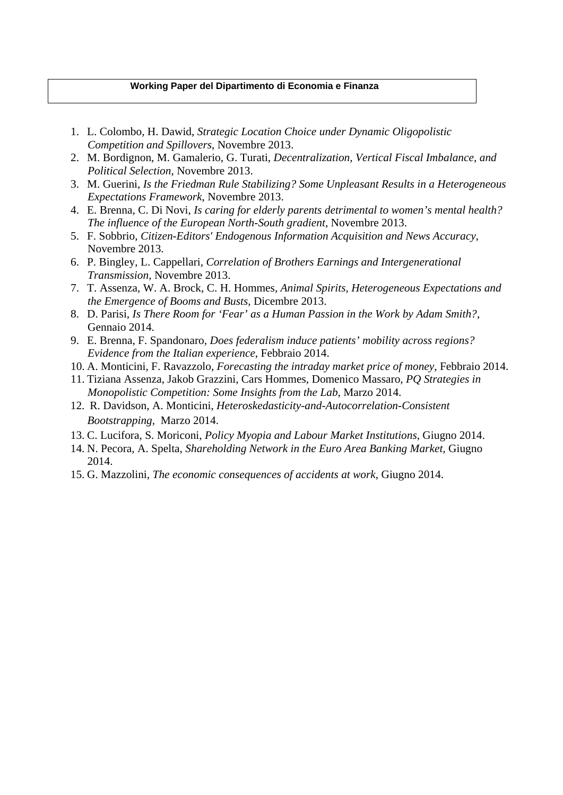# **Appendix**

|                          |                                             | Entire sample |           |        | Subsample of employed workers |
|--------------------------|---------------------------------------------|---------------|-----------|--------|-------------------------------|
| Dependent Variables      | employment                                  | 0,7952        | (0,4036)  |        |                               |
|                          | ln_yhrl                                     |               |           | 1,9241 | (0,7468)                      |
|                          | $\overline{I} IDB_t$                        | 0,0034        | (0,0581)  | 0,0021 | (0,0459)                      |
|                          | $IIDBt-1$                                   | 0,0032        | (0,0568)  | 0,0020 | (0,0447)                      |
|                          | Seriousness                                 | 0,0213        | (0, 3642) | 0,0133 | (0,2443)                      |
|                          | Seriousness Square                          | 0,1331        | (3,9099)  | 0,0598 | (1,9283)                      |
| Personal Characteristics | Age 16-30                                   | 0,3194        | (0,4663)  | 0,2966 | (0,4568)                      |
|                          | Age 31-45                                   | 0,3445        | (0,4752)  | 0,4081 | (0,4915)                      |
|                          | Age 46-65                                   | 0,3360        | (0,4724)  | 0,2952 | (0,4562)                      |
|                          | Single                                      | 0,3278        | (0,4694)  | 0,2770 | (0,4475)                      |
|                          | One or more children                        | 0,3145        | (0,4643)  | 0,3653 | (0,4815)                      |
| Firm and job attributes  | Occupation - Manager                        |               |           | 0,1372 | (0, 3441)                     |
|                          | Occupation - Professional                   |               |           | 0,1252 | (0, 3309)                     |
|                          | Occupation - Technicians                    |               |           | 0,1369 | (0, 3437)                     |
|                          | Occupation - Clerical workers?              |               |           | 0,1805 | (0, 3846)                     |
|                          | Occupation - Service workers                |               |           | 0,1616 | (0, 3681)                     |
|                          | Occupation - Skilled agriculture workers    |               |           | 0,0072 | (0,0846)                      |
|                          | Occupation - Trade workers                  |               |           | 0,0971 |                               |
|                          |                                             |               |           |        | (0, 2961)                     |
|                          | Occupation - Machine operators              |               |           | 0,0821 | (0,2745)                      |
|                          | Occupation - Elementary workers             |               |           | 0,0722 | (0,2588)                      |
|                          | Industry - Agriculture                      |               |           | 0,0097 | (0,0980)                      |
|                          | Industry - Manufacturing                    |               |           | 0,1995 | (0,3996)                      |
|                          | Industry - Electricity                      |               |           | 0,0097 | (0,0981)                      |
|                          | Industry - Construction                     |               |           | 0,0427 | (0,2021)                      |
|                          | Industry - Wholesale                        |               |           | 0,1428 | (0, 3499)                     |
|                          | Industry - Hotel                            |               |           | 0,0439 | (0,2049)                      |
|                          | <b>Industry - Transport</b>                 |               |           | 0,0600 | (0,2376)                      |
|                          | <b>Industry - Finance</b>                   |               |           | 0,0512 | (0,2205)                      |
|                          | <b>Industry - Real Estate</b>               |               |           | 0,0916 | (0, 2885)                     |
|                          | <b>Industry - Public Administration</b>     |               |           | 0,0828 | (0,2756)                      |
|                          | Industry - Education & Health               |               |           | 0,2021 | (0,4016)                      |
|                          |                                             |               |           |        |                               |
|                          | Industry - Other industry                   |               |           | 0,0639 | (0, 2445)                     |
|                          | Establishment dimension - 1-49 employees    |               |           | 0,4752 | (0,4994)                      |
|                          | Establishment dimension - 50-99 employees   |               |           | 0,1178 | (0,3224)                      |
|                          | Establishment dimension - 100-499 employees |               |           | 0,2338 | (0,4233)                      |
|                          | Establishment dimension - more than 500     |               |           | 0,1732 | (0,3784)                      |
|                          | Presence of trade unions                    |               |           | 0,4641 | (0, 4987)                     |
|                          | Private firm                                |               |           | 0,6863 | (0,4640)                      |
|                          | Permanent contract                          |               |           | 0,9530 | (0,2117)                      |
|                          | Fixed term contract                         |               |           | 0,0239 | (0,1528)                      |
|                          | Temporary contract                          |               |           | 0,0231 | (0,1503)                      |
|                          | Part time job                               |               |           | 0,1876 | (0, 3904)                     |
| Regional dummies         | North East                                  | 0,1006        | (0,3008)  | 0,1004 | (0,3006)                      |
|                          | North West                                  | 0,0869        | (0, 2817) | 0,0868 | (0, 2816)                     |
|                          |                                             |               |           |        |                               |
|                          |                                             |               |           |        |                               |
|                          | Yorkshire and The Humber                    | 0,0267        | (0,1611)  | 0,0271 | (0,1623)                      |
|                          | East Midlands                               | 0,0707        | (0, 2563) | 0,0708 | (0,2565)                      |
|                          | West Midlands                               | 0,0718        | (0, 2582) | 0,0707 | (0, 2563)                     |
|                          | East                                        | 0,0323        | (0,1767)  | 0,0324 | (0,1771)                      |
|                          | London                                      | 0,0742        | (0, 2621) | 0,0734 | (0,2607)                      |
|                          | South East                                  | 0,1542        | (0, 3611) | 0,1597 | (0, 3663)                     |
|                          | South West                                  | 0,0716        | (0, 2579) | 0,0729 | (0,2600)                      |
|                          | Wales                                       | 0,1395        | (0, 3464) | 0,1329 | (0, 3394)                     |
|                          | Scotland                                    | 0,1716        | (0,3770)  | 0,1729 | (0,3782)                      |
|                          | 1991                                        | 0,0483        | (0,2144)  | 0,0496 | (0,2172)                      |
|                          | 1992                                        | 0,0464        | (0,2104)  | 0,0142 | (0,1183)                      |
|                          | 1993                                        | 0,0448        | (0, 2070) | 0,0441 | (0,2054)                      |
|                          | 1994                                        | 0,0446        | (0, 2063) | 0,0451 | (0, 2076)                     |
|                          | 1995                                        | 0,0435        | (0, 2039) | 0,0445 | (0,2063)                      |
|                          | 1996                                        | 0,0453        | (0, 2080) | 0,0468 | (0,2112)                      |
|                          | 1997                                        | 0,0511        | (0, 2202) | 0,0534 | (0, 2249)                     |
|                          | 1998                                        | 0,0498        | (0, 2176) | 0,0534 | (0, 2248)                     |
|                          |                                             |               |           |        |                               |
|                          | 1999                                        | 0,0715        | (0, 2576) | 0,0720 | (0,2585)                      |
|                          | 2000                                        | 0,0723        | (0, 2590) | 0,0736 | (0,2611)                      |
|                          | 2001                                        | 0,0704        | (0,2559)  | 0,0731 | (0, 2603)                     |
|                          | 2002                                        | 0,0621        | (0, 2413) | 0,0644 | (0,2455)                      |
|                          | 2003                                        | 0,0615        | (0, 2403) | 0,0635 | (0, 2439)                     |
|                          | 2004                                        | 0,0586        | (0, 2349) | 0,0616 | (0, 2404)                     |
| Time dummies             | 2005                                        | 0,0587        | (0, 2350) | 0,0611 | (0,2395)                      |
|                          | 2006                                        | 0,0592        | (0, 2360) | 0,0623 | (0, 2418)                     |
|                          | 2007                                        | 0,0570        | (0, 2319) | 0,0604 | (0, 2382)                     |

# **Table A1: Data description (Standard errors are in parentheses)**